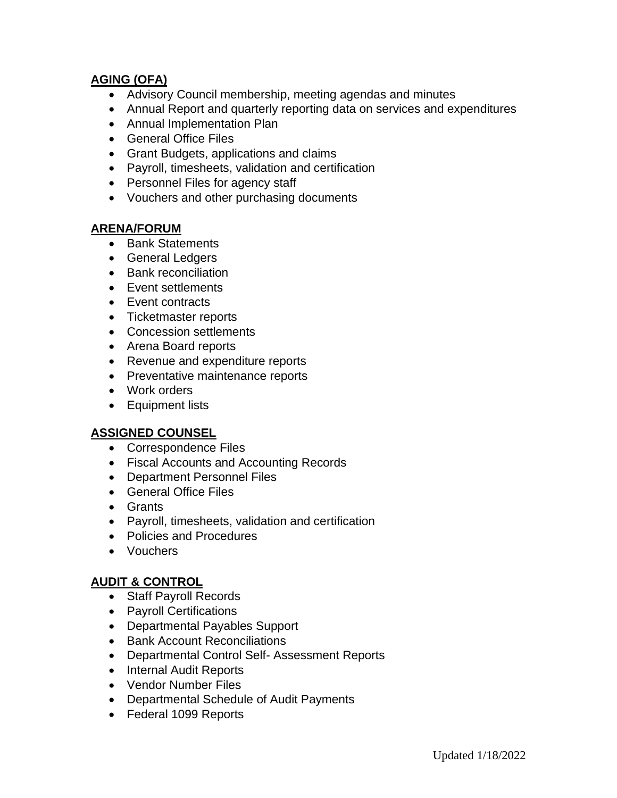# **AGING (OFA)**

- Advisory Council membership, meeting agendas and minutes
- Annual Report and quarterly reporting data on services and expenditures
- Annual Implementation Plan
- General Office Files
- Grant Budgets, applications and claims
- Payroll, timesheets, validation and certification
- Personnel Files for agency staff
- Vouchers and other purchasing documents

#### **ARENA/FORUM**

- Bank Statements
- General Ledgers
- Bank reconciliation
- Event settlements
- Event contracts
- Ticketmaster reports
- Concession settlements
- Arena Board reports
- Revenue and expenditure reports
- Preventative maintenance reports
- Work orders
- Equipment lists

# **ASSIGNED COUNSEL**

- Correspondence Files
- Fiscal Accounts and Accounting Records
- Department Personnel Files
- General Office Files
- Grants
- Payroll, timesheets, validation and certification
- Policies and Procedures
- Vouchers

# **AUDIT & CONTROL**

- Staff Payroll Records
- Payroll Certifications
- Departmental Payables Support
- Bank Account Reconciliations
- Departmental Control Self- Assessment Reports
- Internal Audit Reports
- Vendor Number Files
- Departmental Schedule of Audit Payments
- Federal 1099 Reports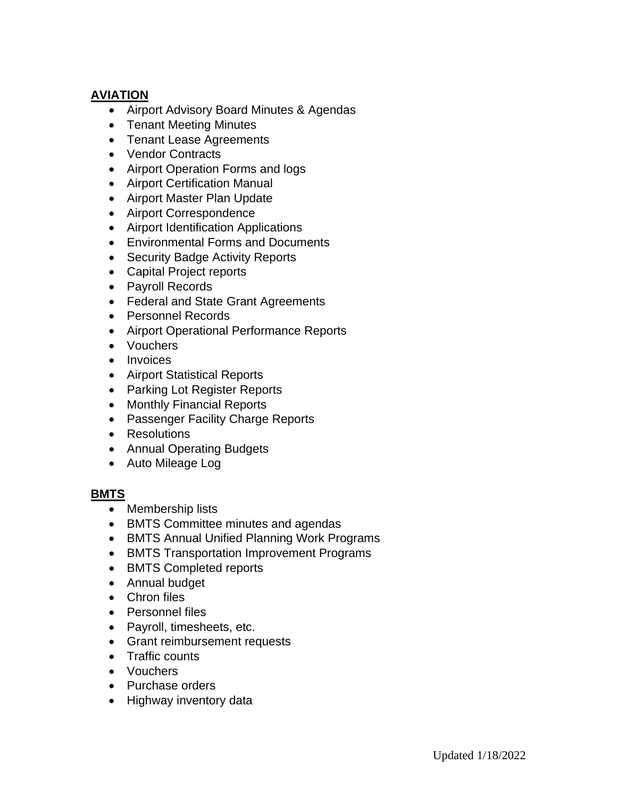# **AVIATION**

- Airport Advisory Board Minutes & Agendas
- Tenant Meeting Minutes
- Tenant Lease Agreements
- Vendor Contracts
- Airport Operation Forms and logs
- Airport Certification Manual
- Airport Master Plan Update
- Airport Correspondence
- Airport Identification Applications
- Environmental Forms and Documents
- Security Badge Activity Reports
- Capital Project reports
- Payroll Records
- Federal and State Grant Agreements
- Personnel Records
- Airport Operational Performance Reports
- Vouchers
- Invoices
- Airport Statistical Reports
- Parking Lot Register Reports
- Monthly Financial Reports
- Passenger Facility Charge Reports
- Resolutions
- Annual Operating Budgets
- Auto Mileage Log

# **BMTS**

- Membership lists
- BMTS Committee minutes and agendas
- BMTS Annual Unified Planning Work Programs
- BMTS Transportation Improvement Programs
- BMTS Completed reports
- Annual budget
- Chron files
- Personnel files
- Payroll, timesheets, etc.
- Grant reimbursement requests
- Traffic counts
- Vouchers
- Purchase orders
- Highway inventory data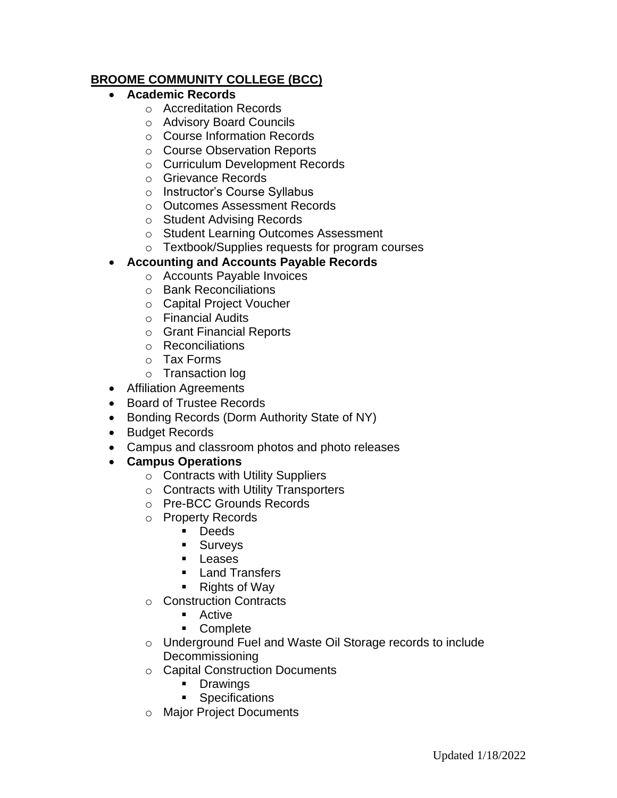# **BROOME COMMUNITY COLLEGE (BCC)**

- **Academic Records**
	- o Accreditation Records
	- o Advisory Board Councils
	- o Course Information Records
	- o Course Observation Reports
	- o Curriculum Development Records
	- o Grievance Records
	- o Instructor's Course Syllabus
	- o Outcomes Assessment Records
	- o Student Advising Records
	- o Student Learning Outcomes Assessment
	- o Textbook/Supplies requests for program courses

#### • **Accounting and Accounts Payable Records**

- o Accounts Payable Invoices
- o Bank Reconciliations
- o Capital Project Voucher
- o Financial Audits
- o Grant Financial Reports
- o Reconciliations
- o Tax Forms
- o Transaction log
- Affiliation Agreements
- Board of Trustee Records
- Bonding Records (Dorm Authority State of NY)
- Budget Records
- Campus and classroom photos and photo releases
- **Campus Operations**
	- o Contracts with Utility Suppliers
	- o Contracts with Utility Transporters
	- o Pre-BCC Grounds Records
	- o Property Records
		- Deeds
		- Surveys
		- Leases
		- Land Transfers
		- Rights of Way
	- o Construction Contracts
		- Active
		- Complete
	- o Underground Fuel and Waste Oil Storage records to include Decommissioning
	- o Capital Construction Documents
		- Drawings
		- Specifications
	- o Major Project Documents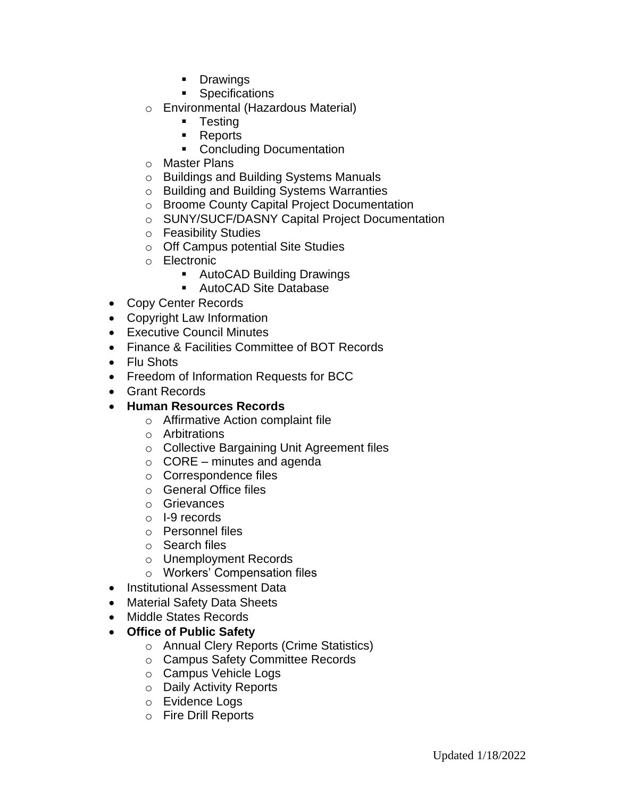- Drawings
- Specifications
- o Environmental (Hazardous Material)
	- Testing
	- Reports
	- Concluding Documentation
- o Master Plans
- o Buildings and Building Systems Manuals
- o Building and Building Systems Warranties
- o Broome County Capital Project Documentation
- o SUNY/SUCF/DASNY Capital Project Documentation
- o Feasibility Studies
- o Off Campus potential Site Studies
- o Electronic
	- AutoCAD Building Drawings
	- AutoCAD Site Database
- Copy Center Records
- Copyright Law Information
- Executive Council Minutes
- Finance & Facilities Committee of BOT Records
- Flu Shots
- Freedom of Information Requests for BCC
- Grant Records
- **Human Resources Records**
	- o Affirmative Action complaint file
	- o Arbitrations
	- o Collective Bargaining Unit Agreement files
	- $\circ$  CORE minutes and agenda
	- o Correspondence files
	- o General Office files
	- o Grievances
	- o I-9 records
	- o Personnel files
	- o Search files
	- o Unemployment Records
	- o Workers' Compensation files
- Institutional Assessment Data
- Material Safety Data Sheets
- Middle States Records
- **Office of Public Safety**
	- o Annual Clery Reports (Crime Statistics)
	- o Campus Safety Committee Records
	- o Campus Vehicle Logs
	- o Daily Activity Reports
	- o Evidence Logs
	- o Fire Drill Reports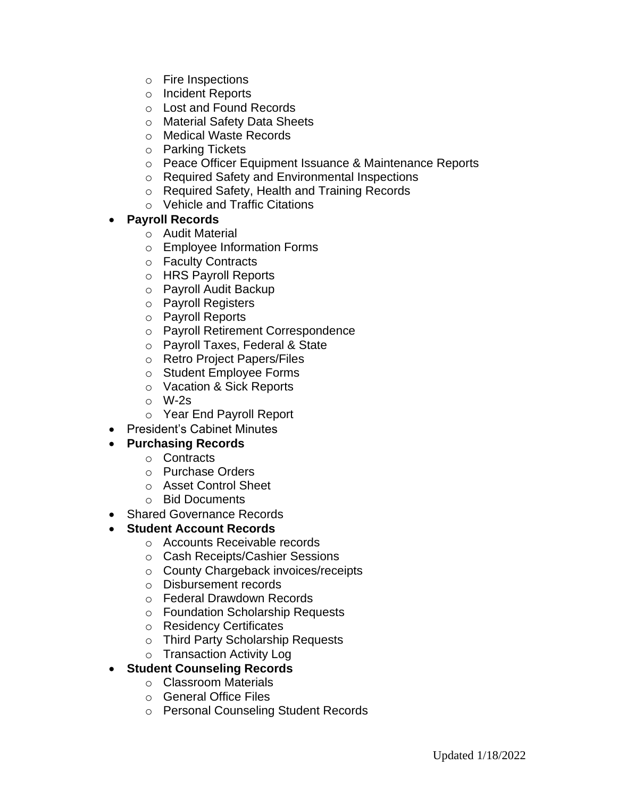- o Fire Inspections
- o Incident Reports
- o Lost and Found Records
- o Material Safety Data Sheets
- o Medical Waste Records
- o Parking Tickets
- o Peace Officer Equipment Issuance & Maintenance Reports
- o Required Safety and Environmental Inspections
- o Required Safety, Health and Training Records
- o Vehicle and Traffic Citations

#### • **Payroll Records**

- o Audit Material
- o Employee Information Forms
- o Faculty Contracts
- o HRS Payroll Reports
- o Payroll Audit Backup
- o Payroll Registers
- o Payroll Reports
- o Payroll Retirement Correspondence
- o Payroll Taxes, Federal & State
- o Retro Project Papers/Files
- o Student Employee Forms
- o Vacation & Sick Reports
- o W-2s
- o Year End Payroll Report
- President's Cabinet Minutes

# • **Purchasing Records**

- o Contracts
- o Purchase Orders
- o Asset Control Sheet
- o Bid Documents
- Shared Governance Records
- **Student Account Records**
	- o Accounts Receivable records
	- o Cash Receipts/Cashier Sessions
	- o County Chargeback invoices/receipts
	- o Disbursement records
	- o Federal Drawdown Records
	- o Foundation Scholarship Requests
	- o Residency Certificates
	- o Third Party Scholarship Requests
	- o Transaction Activity Log
- **Student Counseling Records**
	- o Classroom Materials
	- o General Office Files
	- o Personal Counseling Student Records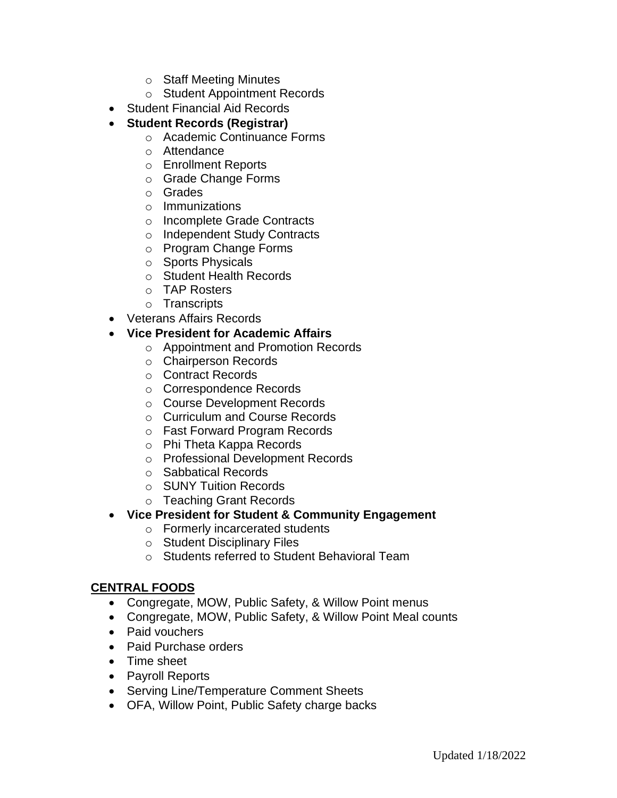- o Staff Meeting Minutes
- o Student Appointment Records
- Student Financial Aid Records
- **Student Records (Registrar)**
	- o Academic Continuance Forms
	- o Attendance
	- o Enrollment Reports
	- o Grade Change Forms
	- o Grades
	- o Immunizations
	- o Incomplete Grade Contracts
	- o Independent Study Contracts
	- o Program Change Forms
	- o Sports Physicals
	- o Student Health Records
	- o TAP Rosters
	- o Transcripts
- Veterans Affairs Records
- **Vice President for Academic Affairs** 
	- o Appointment and Promotion Records
	- o Chairperson Records
	- o Contract Records
	- o Correspondence Records
	- o Course Development Records
	- o Curriculum and Course Records
	- o Fast Forward Program Records
	- o Phi Theta Kappa Records
	- o Professional Development Records
	- o Sabbatical Records
	- o SUNY Tuition Records
	- o Teaching Grant Records
- **Vice President for Student & Community Engagement**
	- o Formerly incarcerated students
	- o Student Disciplinary Files
	- o Students referred to Student Behavioral Team

# **CENTRAL FOODS**

- Congregate, MOW, Public Safety, & Willow Point menus
- Congregate, MOW, Public Safety, & Willow Point Meal counts
- Paid vouchers
- Paid Purchase orders
- Time sheet
- Payroll Reports
- Serving Line/Temperature Comment Sheets
- OFA, Willow Point, Public Safety charge backs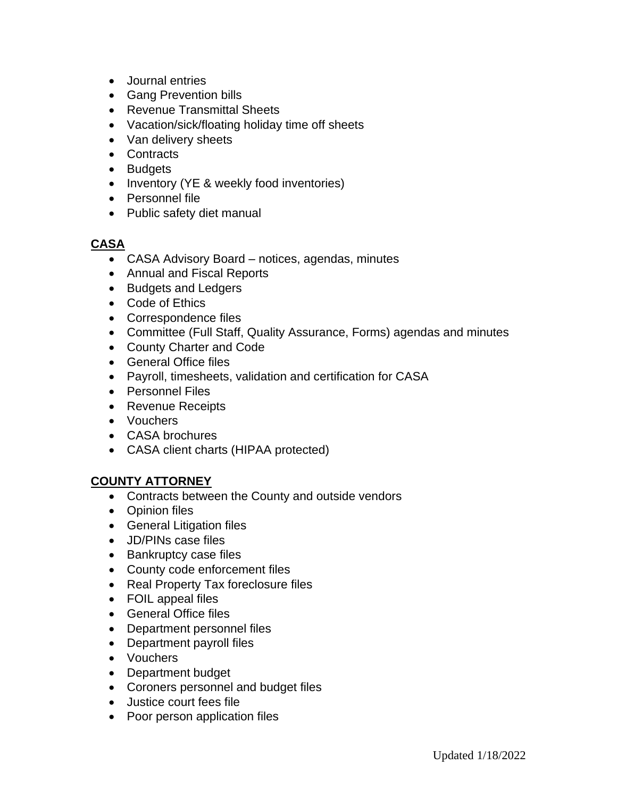- Journal entries
- Gang Prevention bills
- Revenue Transmittal Sheets
- Vacation/sick/floating holiday time off sheets
- Van delivery sheets
- Contracts
- Budgets
- Inventory (YE & weekly food inventories)
- Personnel file
- Public safety diet manual

#### **CASA**

- CASA Advisory Board notices, agendas, minutes
- Annual and Fiscal Reports
- Budgets and Ledgers
- Code of Ethics
- Correspondence files
- Committee (Full Staff, Quality Assurance, Forms) agendas and minutes
- County Charter and Code
- General Office files
- Payroll, timesheets, validation and certification for CASA
- Personnel Files
- Revenue Receipts
- Vouchers
- CASA brochures
- CASA client charts (HIPAA protected)

# **COUNTY ATTORNEY**

- Contracts between the County and outside vendors
- Opinion files
- General Litigation files
- JD/PINs case files
- Bankruptcy case files
- County code enforcement files
- Real Property Tax foreclosure files
- FOIL appeal files
- General Office files
- Department personnel files
- Department payroll files
- Vouchers
- Department budget
- Coroners personnel and budget files
- Justice court fees file
- Poor person application files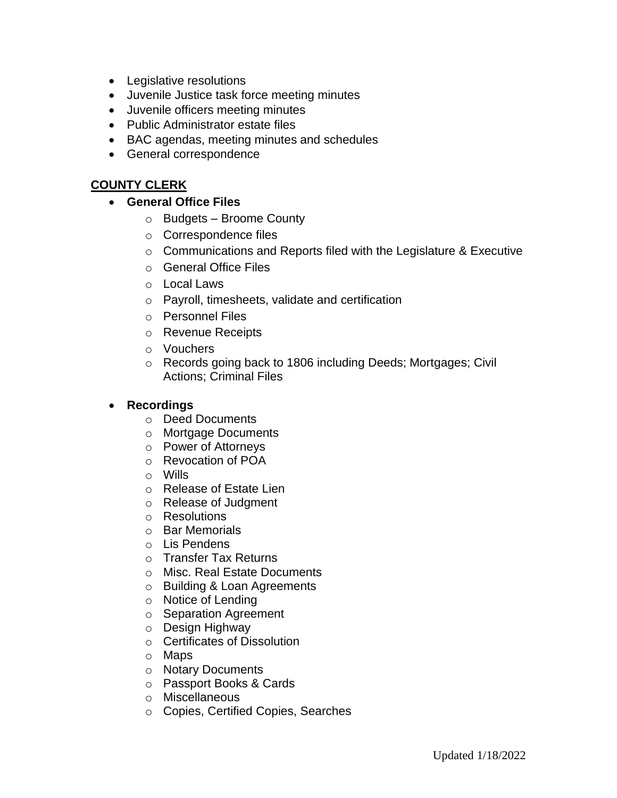- Legislative resolutions
- Juvenile Justice task force meeting minutes
- Juvenile officers meeting minutes
- Public Administrator estate files
- BAC agendas, meeting minutes and schedules
- General correspondence

# **COUNTY CLERK**

#### • **General Office Files**

- o Budgets Broome County
- o Correspondence files
- o Communications and Reports filed with the Legislature & Executive
- o General Office Files
- o Local Laws
- o Payroll, timesheets, validate and certification
- o Personnel Files
- o Revenue Receipts
- o Vouchers
- o Records going back to 1806 including Deeds; Mortgages; Civil Actions; Criminal Files

### • **Recordings**

- o Deed Documents
- o Mortgage Documents
- o Power of Attorneys
- o Revocation of POA
- o Wills
- o Release of Estate Lien
- o Release of Judgment
- o Resolutions
- o Bar Memorials
- o Lis Pendens
- o Transfer Tax Returns
- o Misc. Real Estate Documents
- o Building & Loan Agreements
- o Notice of Lending
- o Separation Agreement
- o Design Highway
- o Certificates of Dissolution
- o Maps
- o Notary Documents
- o Passport Books & Cards
- o Miscellaneous
- o Copies, Certified Copies, Searches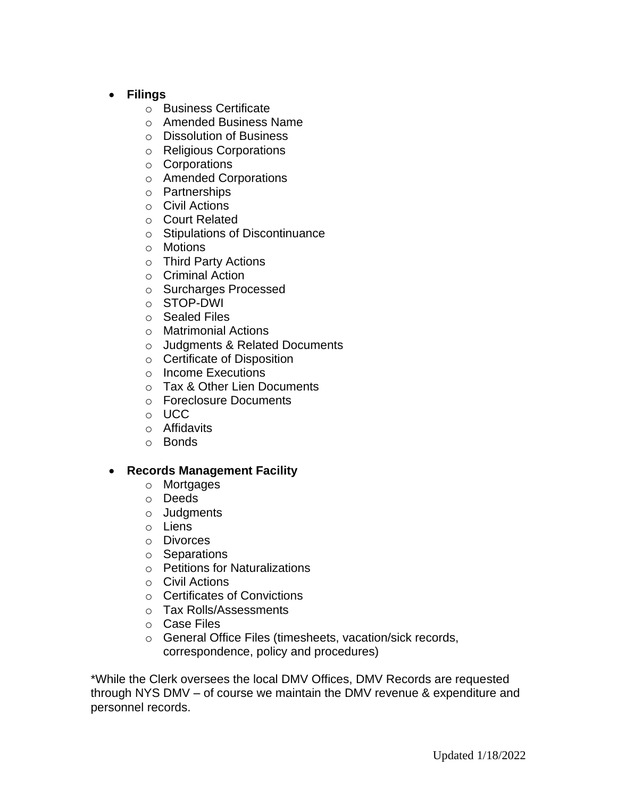- **Filings**
	- o Business Certificate
	- o Amended Business Name
	- o Dissolution of Business
	- o Religious Corporations
	- o Corporations
	- o Amended Corporations
	- o Partnerships
	- o Civil Actions
	- o Court Related
	- o Stipulations of Discontinuance
	- o Motions
	- o Third Party Actions
	- o Criminal Action
	- o Surcharges Processed
	- o STOP-DWI
	- o Sealed Files
	- o Matrimonial Actions
	- o Judgments & Related Documents
	- o Certificate of Disposition
	- o Income Executions
	- o Tax & Other Lien Documents
	- o Foreclosure Documents
	- o UCC
	- o Affidavits
	- o Bonds

#### • **Records Management Facility**

- o Mortgages
- o Deeds
- o Judgments
- o Liens
- o Divorces
- o Separations
- o Petitions for Naturalizations
- o Civil Actions
- o Certificates of Convictions
- o Tax Rolls/Assessments
- o Case Files
- o General Office Files (timesheets, vacation/sick records, correspondence, policy and procedures)

\*While the Clerk oversees the local DMV Offices, DMV Records are requested through NYS DMV – of course we maintain the DMV revenue & expenditure and personnel records.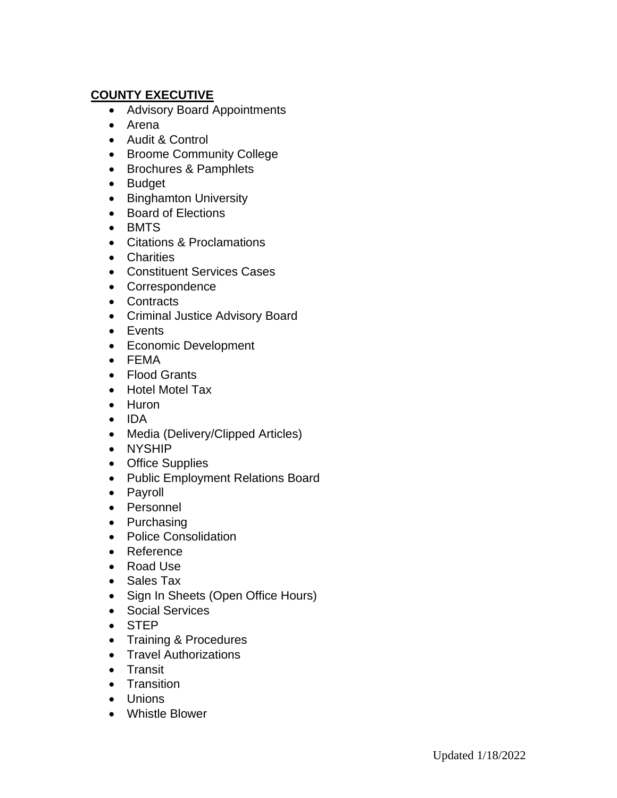# **COUNTY EXECUTIVE**

- Advisory Board Appointments
- Arena
- Audit & Control
- Broome Community College
- Brochures & Pamphlets
- Budget
- Binghamton University
- Board of Elections
- BMTS
- Citations & Proclamations
- Charities
- Constituent Services Cases
- Correspondence
- Contracts
- Criminal Justice Advisory Board
- Events
- Economic Development
- FEMA
- Flood Grants
- Hotel Motel Tax
- Huron
- IDA
- Media (Delivery/Clipped Articles)
- NYSHIP
- Office Supplies
- Public Employment Relations Board
- Payroll
- Personnel
- Purchasing
- Police Consolidation
- Reference
- Road Use
- Sales Tax
- Sign In Sheets (Open Office Hours)
- Social Services
- STEP
- Training & Procedures
- Travel Authorizations
- Transit
- Transition
- Unions
- Whistle Blower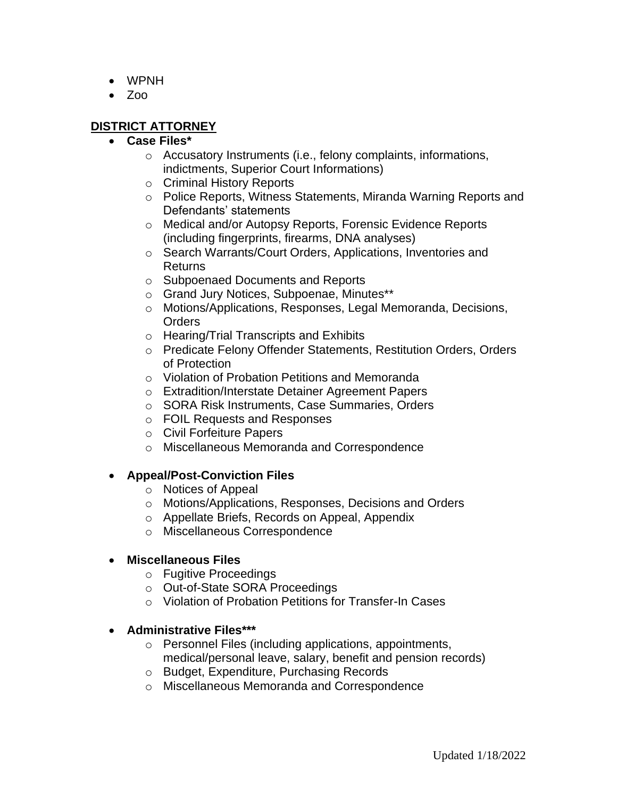- WPNH
- Zoo

# **DISTRICT ATTORNEY**

#### • **Case Files\***

- o Accusatory Instruments (i.e., felony complaints, informations, indictments, Superior Court Informations)
- o Criminal History Reports
- o Police Reports, Witness Statements, Miranda Warning Reports and Defendants' statements
- o Medical and/or Autopsy Reports, Forensic Evidence Reports (including fingerprints, firearms, DNA analyses)
- o Search Warrants/Court Orders, Applications, Inventories and Returns
- o Subpoenaed Documents and Reports
- o Grand Jury Notices, Subpoenae, Minutes\*\*
- o Motions/Applications, Responses, Legal Memoranda, Decisions, **Orders**
- o Hearing/Trial Transcripts and Exhibits
- o Predicate Felony Offender Statements, Restitution Orders, Orders of Protection
- o Violation of Probation Petitions and Memoranda
- o Extradition/Interstate Detainer Agreement Papers
- o SORA Risk Instruments, Case Summaries, Orders
- o FOIL Requests and Responses
- o Civil Forfeiture Papers
- o Miscellaneous Memoranda and Correspondence

# • **Appeal/Post-Conviction Files**

- o Notices of Appeal
- o Motions/Applications, Responses, Decisions and Orders
- o Appellate Briefs, Records on Appeal, Appendix
- o Miscellaneous Correspondence

# • **Miscellaneous Files**

- o Fugitive Proceedings
- o Out-of-State SORA Proceedings
- o Violation of Probation Petitions for Transfer-In Cases

#### • **Administrative Files\*\*\***

- o Personnel Files (including applications, appointments, medical/personal leave, salary, benefit and pension records)
- o Budget, Expenditure, Purchasing Records
- o Miscellaneous Memoranda and Correspondence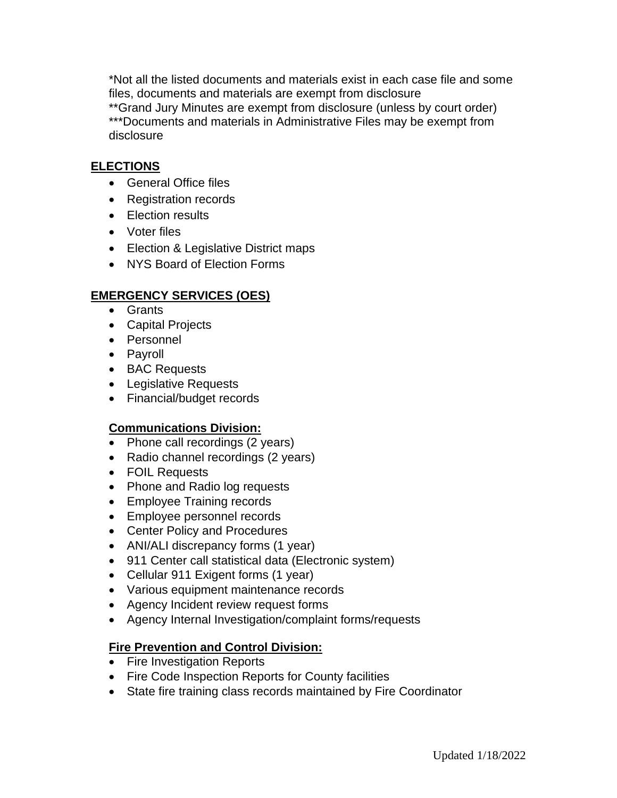\*Not all the listed documents and materials exist in each case file and some files, documents and materials are exempt from disclosure \*\*Grand Jury Minutes are exempt from disclosure (unless by court order) \*\*\*Documents and materials in Administrative Files may be exempt from disclosure

#### **ELECTIONS**

- General Office files
- Registration records
- Election results
- Voter files
- Election & Legislative District maps
- NYS Board of Election Forms

#### **EMERGENCY SERVICES (OES)**

- Grants
- Capital Projects
- Personnel
- Payroll
- BAC Requests
- Legislative Requests
- Financial/budget records

#### **Communications Division:**

- Phone call recordings (2 years)
- Radio channel recordings (2 years)
- FOIL Requests
- Phone and Radio log requests
- Employee Training records
- Employee personnel records
- Center Policy and Procedures
- ANI/ALI discrepancy forms (1 year)
- 911 Center call statistical data (Electronic system)
- Cellular 911 Exigent forms (1 year)
- Various equipment maintenance records
- Agency Incident review request forms
- Agency Internal Investigation/complaint forms/requests

#### **Fire Prevention and Control Division:**

- Fire Investigation Reports
- Fire Code Inspection Reports for County facilities
- State fire training class records maintained by Fire Coordinator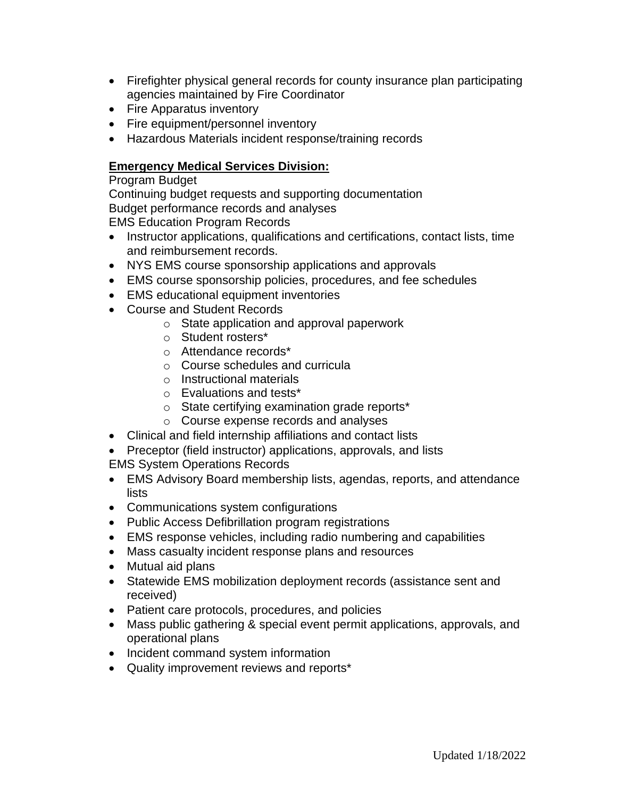- Firefighter physical general records for county insurance plan participating agencies maintained by Fire Coordinator
- Fire Apparatus inventory
- Fire equipment/personnel inventory
- Hazardous Materials incident response/training records

#### **Emergency Medical Services Division:**

Program Budget

Continuing budget requests and supporting documentation Budget performance records and analyses EMS Education Program Records

- Instructor applications, qualifications and certifications, contact lists, time and reimbursement records.
- NYS EMS course sponsorship applications and approvals
- EMS course sponsorship policies, procedures, and fee schedules
- EMS educational equipment inventories
- Course and Student Records
	- o State application and approval paperwork
	- o Student rosters\*
	- o Attendance records\*
	- o Course schedules and curricula
	- o Instructional materials
	- o Evaluations and tests\*
	- o State certifying examination grade reports\*
	- o Course expense records and analyses
- Clinical and field internship affiliations and contact lists
- Preceptor (field instructor) applications, approvals, and lists
- EMS System Operations Records
- EMS Advisory Board membership lists, agendas, reports, and attendance lists
- Communications system configurations
- Public Access Defibrillation program registrations
- EMS response vehicles, including radio numbering and capabilities
- Mass casualty incident response plans and resources
- Mutual aid plans
- Statewide EMS mobilization deployment records (assistance sent and received)
- Patient care protocols, procedures, and policies
- Mass public gathering & special event permit applications, approvals, and operational plans
- Incident command system information
- Quality improvement reviews and reports\*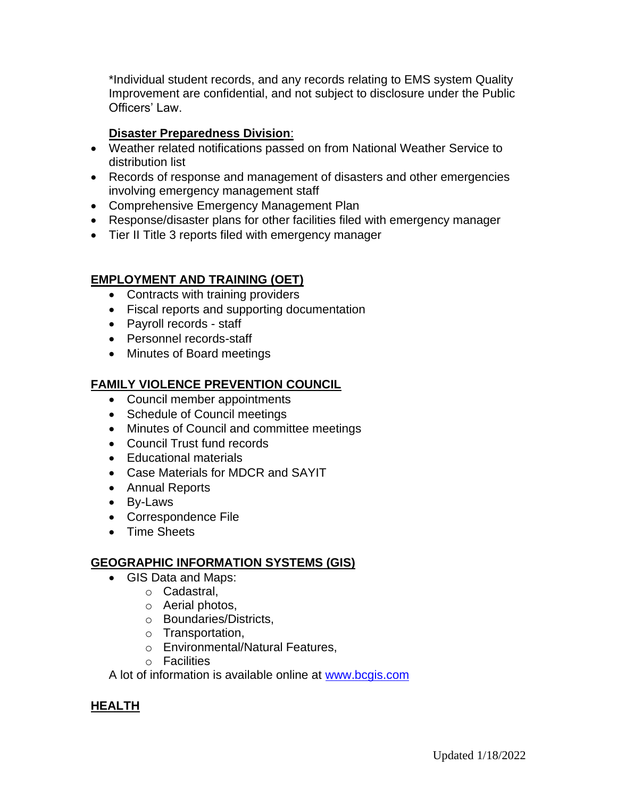\*Individual student records, and any records relating to EMS system Quality Improvement are confidential, and not subject to disclosure under the Public Officers' Law.

# **Disaster Preparedness Division**:

- Weather related notifications passed on from National Weather Service to distribution list
- Records of response and management of disasters and other emergencies involving emergency management staff
- Comprehensive Emergency Management Plan
- Response/disaster plans for other facilities filed with emergency manager
- Tier II Title 3 reports filed with emergency manager

# **EMPLOYMENT AND TRAINING (OET)**

- Contracts with training providers
- Fiscal reports and supporting documentation
- Payroll records staff
- Personnel records-staff
- Minutes of Board meetings

# **FAMILY VIOLENCE PREVENTION COUNCIL**

- Council member appointments
- Schedule of Council meetings
- Minutes of Council and committee meetings
- Council Trust fund records
- Educational materials
- Case Materials for MDCR and SAYIT
- Annual Reports
- By-Laws
- Correspondence File
- Time Sheets

# **GEOGRAPHIC INFORMATION SYSTEMS (GIS)**

- GIS Data and Maps:
	- o Cadastral,
		- o Aerial photos,
		- o Boundaries/Districts,
		- o Transportation,
		- o Environmental/Natural Features,
		- o Facilities

A lot of information is available online at [www.bcgis.com](http://www.bcgis.com/)

# **HEALTH**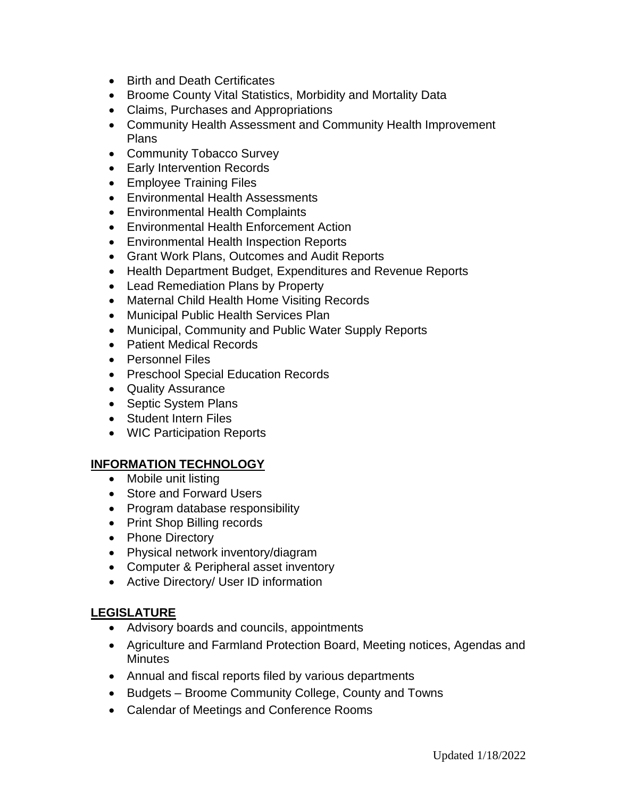- Birth and Death Certificates
- Broome County Vital Statistics, Morbidity and Mortality Data
- Claims, Purchases and Appropriations
- Community Health Assessment and Community Health Improvement Plans
- Community Tobacco Survey
- Early Intervention Records
- Employee Training Files
- Environmental Health Assessments
- Environmental Health Complaints
- Environmental Health Enforcement Action
- Environmental Health Inspection Reports
- Grant Work Plans, Outcomes and Audit Reports
- Health Department Budget, Expenditures and Revenue Reports
- Lead Remediation Plans by Property
- Maternal Child Health Home Visiting Records
- Municipal Public Health Services Plan
- Municipal, Community and Public Water Supply Reports
- Patient Medical Records
- Personnel Files
- Preschool Special Education Records
- Quality Assurance
- Septic System Plans
- Student Intern Files
- WIC Participation Reports

#### **INFORMATION TECHNOLOGY**

- Mobile unit listing
- Store and Forward Users
- Program database responsibility
- Print Shop Billing records
- Phone Directory
- Physical network inventory/diagram
- Computer & Peripheral asset inventory
- Active Directory/ User ID information

#### **LEGISLATURE**

- Advisory boards and councils, appointments
- Agriculture and Farmland Protection Board, Meeting notices, Agendas and Minutes
- Annual and fiscal reports filed by various departments
- Budgets Broome Community College, County and Towns
- Calendar of Meetings and Conference Rooms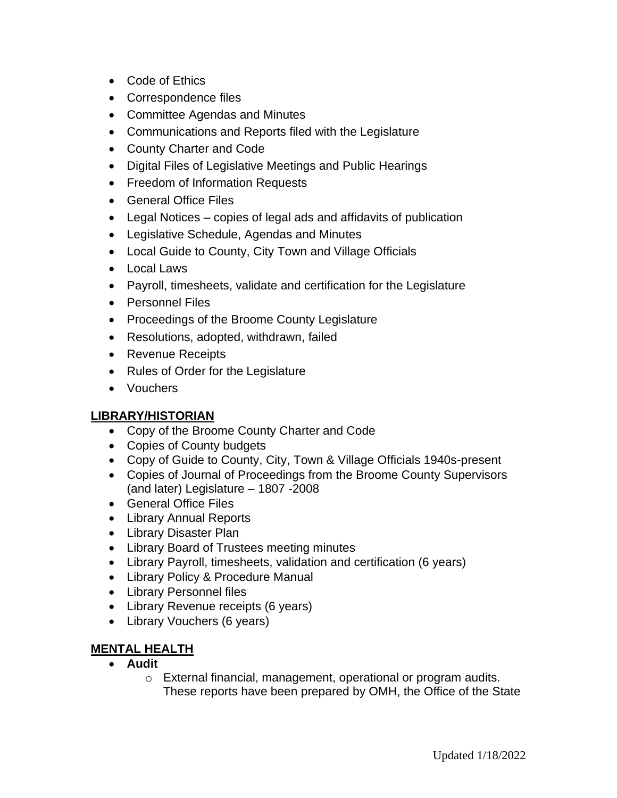- Code of Ethics
- Correspondence files
- Committee Agendas and Minutes
- Communications and Reports filed with the Legislature
- County Charter and Code
- Digital Files of Legislative Meetings and Public Hearings
- Freedom of Information Requests
- General Office Files
- Legal Notices copies of legal ads and affidavits of publication
- Legislative Schedule, Agendas and Minutes
- Local Guide to County, City Town and Village Officials
- Local Laws
- Payroll, timesheets, validate and certification for the Legislature
- Personnel Files
- Proceedings of the Broome County Legislature
- Resolutions, adopted, withdrawn, failed
- Revenue Receipts
- Rules of Order for the Legislature
- Vouchers

# **LIBRARY/HISTORIAN**

- Copy of the Broome County Charter and Code
- Copies of County budgets
- Copy of Guide to County, City, Town & Village Officials 1940s-present
- Copies of Journal of Proceedings from the Broome County Supervisors (and later) Legislature – 1807 -2008
- General Office Files
- Library Annual Reports
- Library Disaster Plan
- Library Board of Trustees meeting minutes
- Library Payroll, timesheets, validation and certification (6 years)
- Library Policy & Procedure Manual
- Library Personnel files
- Library Revenue receipts (6 years)
- Library Vouchers (6 years)

# **MENTAL HEALTH**

- **Audit**
	- o External financial, management, operational or program audits. These reports have been prepared by OMH, the Office of the State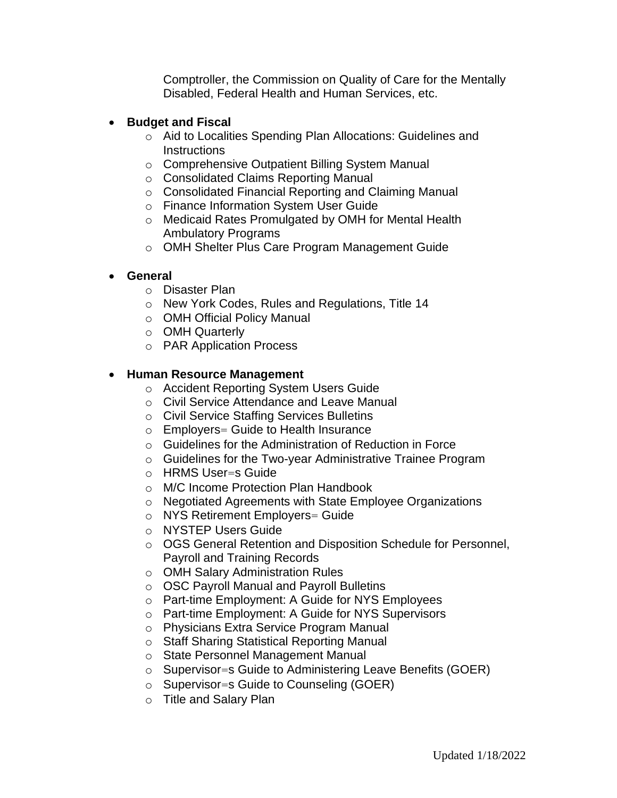Comptroller, the Commission on Quality of Care for the Mentally Disabled, Federal Health and Human Services, etc.

#### • **Budget and Fiscal**

- o Aid to Localities Spending Plan Allocations: Guidelines and **Instructions**
- o Comprehensive Outpatient Billing System Manual
- o Consolidated Claims Reporting Manual
- o Consolidated Financial Reporting and Claiming Manual
- o Finance Information System User Guide
- o Medicaid Rates Promulgated by OMH for Mental Health Ambulatory Programs
- o OMH Shelter Plus Care Program Management Guide

#### • **General**

- o Disaster Plan
- o New York Codes, Rules and Regulations, Title 14
- o OMH Official Policy Manual
- o OMH Quarterly
- o PAR Application Process

#### • **Human Resource Management**

- o Accident Reporting System Users Guide
- o Civil Service Attendance and Leave Manual
- o Civil Service Staffing Services Bulletins
- o Employers= Guide to Health Insurance
- o Guidelines for the Administration of Reduction in Force
- o Guidelines for the Two-year Administrative Trainee Program
- o HRMS User=s Guide
- o M/C Income Protection Plan Handbook
- o Negotiated Agreements with State Employee Organizations
- o NYS Retirement Employers= Guide
- o NYSTEP Users Guide
- o OGS General Retention and Disposition Schedule for Personnel, Payroll and Training Records
- o OMH Salary Administration Rules
- o OSC Payroll Manual and Payroll Bulletins
- o Part-time Employment: A Guide for NYS Employees
- o Part-time Employment: A Guide for NYS Supervisors
- o Physicians Extra Service Program Manual
- o Staff Sharing Statistical Reporting Manual
- o State Personnel Management Manual
- o Supervisor=s Guide to Administering Leave Benefits (GOER)
- o Supervisor=s Guide to Counseling (GOER)
- o Title and Salary Plan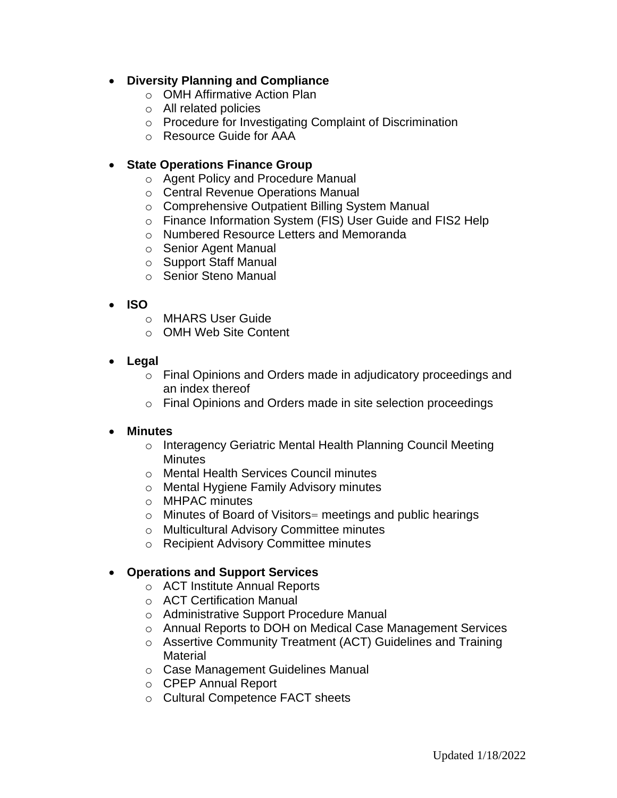# • **Diversity Planning and Compliance**

- o OMH Affirmative Action Plan
- o All related policies
- o Procedure for Investigating Complaint of Discrimination
- o Resource Guide for AAA

# • **State Operations Finance Group**

- o Agent Policy and Procedure Manual
- o Central Revenue Operations Manual
- o Comprehensive Outpatient Billing System Manual
- o Finance Information System (FIS) User Guide and FIS2 Help
- o Numbered Resource Letters and Memoranda
- o Senior Agent Manual
- o Support Staff Manual
- o Senior Steno Manual

# • **ISO**

- o MHARS User Guide
- o OMH Web Site Content
- **Legal**
	- o Final Opinions and Orders made in adjudicatory proceedings and an index thereof
	- o Final Opinions and Orders made in site selection proceedings

# • **Minutes**

- o Interagency Geriatric Mental Health Planning Council Meeting **Minutes**
- o Mental Health Services Council minutes
- o Mental Hygiene Family Advisory minutes
- o MHPAC minutes
- o Minutes of Board of Visitors= meetings and public hearings
- o Multicultural Advisory Committee minutes
- o Recipient Advisory Committee minutes

# • **Operations and Support Services**

- o ACT Institute Annual Reports
- o ACT Certification Manual
- o Administrative Support Procedure Manual
- o Annual Reports to DOH on Medical Case Management Services
- o Assertive Community Treatment (ACT) Guidelines and Training **Material**
- o Case Management Guidelines Manual
- o CPEP Annual Report
- o Cultural Competence FACT sheets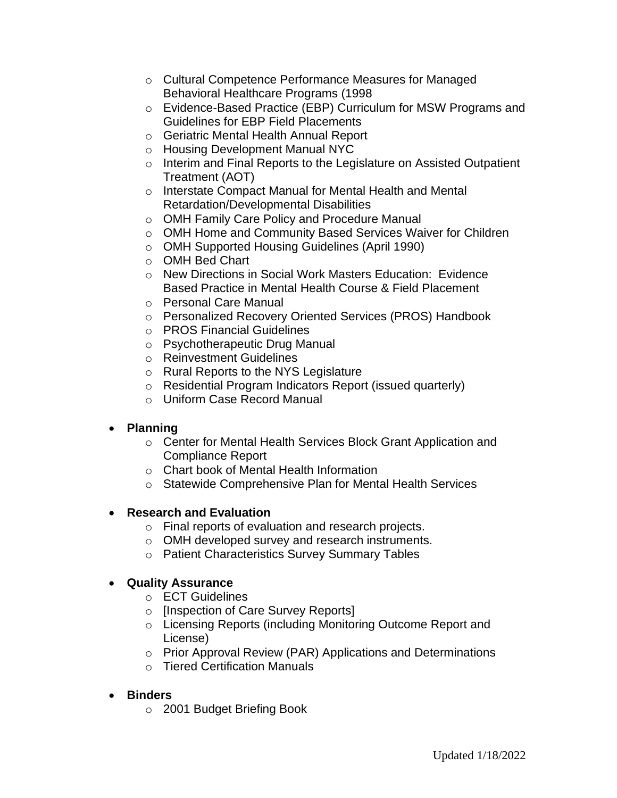- o Cultural Competence Performance Measures for Managed Behavioral Healthcare Programs (1998
- o Evidence-Based Practice (EBP) Curriculum for MSW Programs and Guidelines for EBP Field Placements
- o Geriatric Mental Health Annual Report
- o Housing Development Manual NYC
- o Interim and Final Reports to the Legislature on Assisted Outpatient Treatment (AOT)
- o Interstate Compact Manual for Mental Health and Mental Retardation/Developmental Disabilities
- o OMH Family Care Policy and Procedure Manual
- o OMH Home and Community Based Services Waiver for Children
- o OMH Supported Housing Guidelines (April 1990)
- o OMH Bed Chart
- o New Directions in Social Work Masters Education: Evidence Based Practice in Mental Health Course & Field Placement
- o Personal Care Manual
- o Personalized Recovery Oriented Services (PROS) Handbook
- o PROS Financial Guidelines
- o Psychotherapeutic Drug Manual
- o Reinvestment Guidelines
- o Rural Reports to the NYS Legislature
- o Residential Program Indicators Report (issued quarterly)
- o Uniform Case Record Manual

# • **Planning**

- o Center for Mental Health Services Block Grant Application and Compliance Report
- o Chart book of Mental Health Information
- o Statewide Comprehensive Plan for Mental Health Services

# • **Research and Evaluation**

- o Final reports of evaluation and research projects.
- o OMH developed survey and research instruments.
- o Patient Characteristics Survey Summary Tables

# • **Quality Assurance**

- o ECT Guidelines
- o [Inspection of Care Survey Reports]
- o Licensing Reports (including Monitoring Outcome Report and License)
- o Prior Approval Review (PAR) Applications and Determinations
- o Tiered Certification Manuals
- **Binders**
	- o 2001 Budget Briefing Book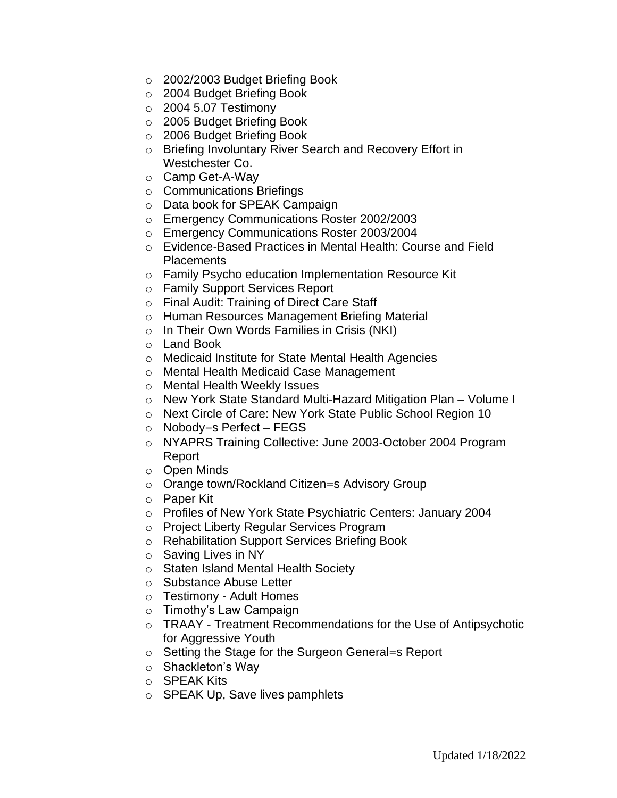- o 2002/2003 Budget Briefing Book
- o 2004 Budget Briefing Book
- $\circ$  2004 5.07 Testimony
- o 2005 Budget Briefing Book
- o 2006 Budget Briefing Book
- o Briefing Involuntary River Search and Recovery Effort in Westchester Co.
- o Camp Get-A-Way
- o Communications Briefings
- o Data book for SPEAK Campaign
- o Emergency Communications Roster 2002/2003
- o Emergency Communications Roster 2003/2004
- o Evidence-Based Practices in Mental Health: Course and Field **Placements**
- o Family Psycho education Implementation Resource Kit
- o Family Support Services Report
- o Final Audit: Training of Direct Care Staff
- o Human Resources Management Briefing Material
- o In Their Own Words Families in Crisis (NKI)
- o Land Book
- o Medicaid Institute for State Mental Health Agencies
- o Mental Health Medicaid Case Management
- o Mental Health Weekly Issues
- o New York State Standard Multi-Hazard Mitigation Plan Volume I
- o Next Circle of Care: New York State Public School Region 10
- $\circ$  Nobody=s Perfect FEGS
- o NYAPRS Training Collective: June 2003-October 2004 Program Report
- o Open Minds
- o Orange town/Rockland Citizen=s Advisory Group
- o Paper Kit
- o Profiles of New York State Psychiatric Centers: January 2004
- o Project Liberty Regular Services Program
- o Rehabilitation Support Services Briefing Book
- o Saving Lives in NY
- o Staten Island Mental Health Society
- o Substance Abuse Letter
- o Testimony Adult Homes
- o Timothy's Law Campaign
- o TRAAY Treatment Recommendations for the Use of Antipsychotic for Aggressive Youth
- o Setting the Stage for the Surgeon General=s Report
- o Shackleton's Way
- o SPEAK Kits
- o SPEAK Up, Save lives pamphlets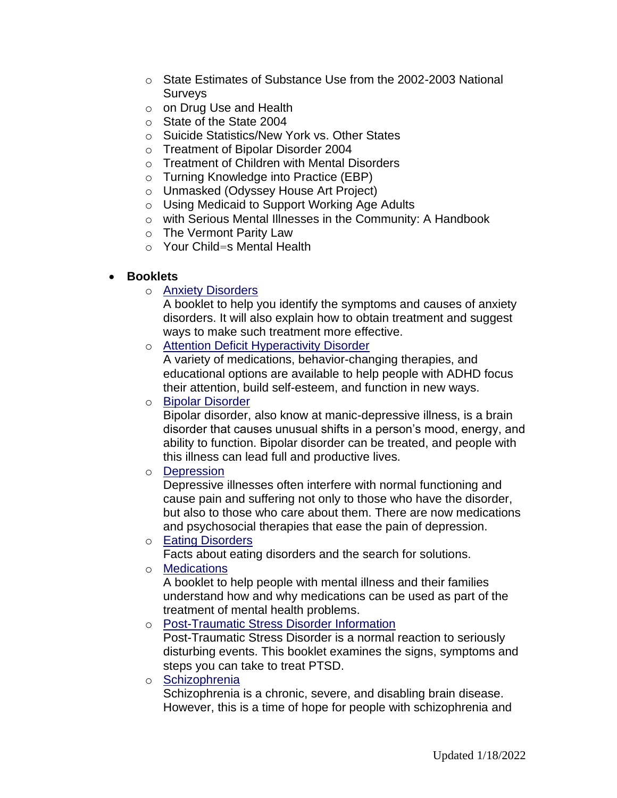- o State Estimates of Substance Use from the 2002-2003 National Surveys
- o on Drug Use and Health
- o State of the State 2004
- o Suicide Statistics/New York vs. Other States
- o Treatment of Bipolar Disorder 2004
- o Treatment of Children with Mental Disorders
- o Turning Knowledge into Practice (EBP)
- o Unmasked (Odyssey House Art Project)
- o Using Medicaid to Support Working Age Adults
- o with Serious Mental Illnesses in the Community: A Handbook
- o The Vermont Parity Law
- o Your Child=s Mental Health

#### • **Booklets**

o [Anxiety Disorders](http://www.omh.state.ny.us/omhweb/booklets/AnxietyDisorders.htm)

A booklet to help you identify the symptoms and causes of anxiety disorders. It will also explain how to obtain treatment and suggest ways to make such treatment more effective.

o [Attention Deficit Hyperactivity Disorder](http://www.omh.state.ny.us/omhweb/booklets/adhd.htm)

A variety of medications, behavior-changing therapies, and educational options are available to help people with ADHD focus their attention, build self-esteem, and function in new ways.

o [Bipolar Disorder](http://www.omh.state.ny.us/omhweb/booklets/Bipolar.htm)

Bipolar disorder, also know at manic-depressive illness, is a brain disorder that causes unusual shifts in a person's mood, energy, and ability to function. Bipolar disorder can be treated, and people with this illness can lead full and productive lives.

o [Depression](http://www.omh.state.ny.us/omhweb/booklets/depression.htm)

Depressive illnesses often interfere with normal functioning and cause pain and suffering not only to those who have the disorder, but also to those who care about them. There are now medications and psychosocial therapies that ease the pain of depression.

o [Eating Disorders](http://www.omh.state.ny.us/omhweb/booklets/EatingDisorder.html)

Facts about eating disorders and the search for solutions.

o [Medications](http://www.omh.state.ny.us/omhweb/booklets/medications.htm)

A booklet to help people with mental illness and their families understand how and why medications can be used as part of the treatment of mental health problems.

o [Post-Traumatic Stress Disorder Information](http://www.omh.state.ny.us/omhweb/booklets/ptsd.htm)

Post-Traumatic Stress Disorder is a normal reaction to seriously disturbing events. This booklet examines the signs, symptoms and steps you can take to treat PTSD.

o [Schizophrenia](http://www.omh.state.ny.us/omhweb/booklets/schizophrenia.htm)

Schizophrenia is a chronic, severe, and disabling brain disease. However, this is a time of hope for people with schizophrenia and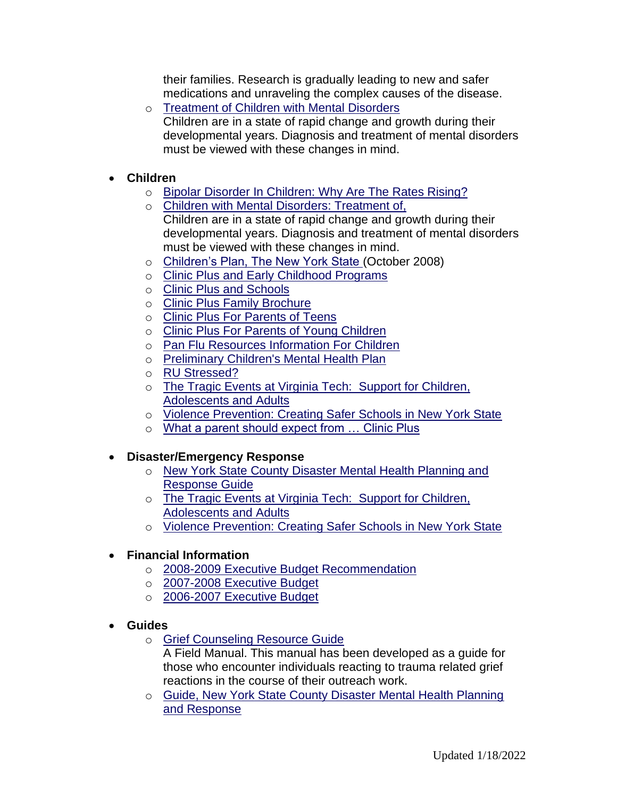their families. Research is gradually leading to new and safer medications and unraveling the complex causes of the disease.

- o [Treatment of Children with Mental Disorders](http://www.omh.state.ny.us/omhweb/booklets/ChildrensBook.htm) Children are in a state of rapid change and growth during their developmental years. Diagnosis and treatment of mental disorders must be viewed with these changes in mind.
- **Children**
	- o [Bipolar Disorder In Children:](http://www.omh.state.ny.us/omhweb/News/bipolar.html) Why Are The Rates Rising?
	- o [Children with Mental Disorders: Treatment of,](http://www.omh.state.ny.us/omhweb/booklets/ChildrensBook.htm)  Children are in a state of rapid change and growth during their developmental years. Diagnosis and treatment of mental disorders must be viewed with these changes in mind.
	- o [Children's Plan, The New York State \(](http://www.omh.state.ny.us/omhweb/engage/childrens_plan.pdf)October 2008)
	- o [Clinic Plus and Early Childhood Programs](http://www.omh.state.ny.us/omhweb/clinicplus/html/CPEarlyChildhood.html)
	- o [Clinic Plus and Schools](http://www.omh.state.ny.us/omhweb/clinicplus/html/CPSchools.html)
	- o [Clinic Plus Family Brochure](http://www.omh.state.ny.us/omhweb/clinicplus/html/what_to_know.html)
	- o [Clinic Plus For Parents of Teens](http://www.omh.state.ny.us/omhweb/clinicplus/html/CPEducationalMaterialsOlder.html)
	- o [Clinic Plus For Parents of Young Children](http://www.omh.state.ny.us/omhweb/clinicplus/html/CPEducationalMaterialsYoung.html)
	- o [Pan Flu Resources Information For Children](http://www.omh.state.ny.us/omhweb/disaster_resources/pandemic_influenza/children/)
	- o [Preliminary Children's Mental Health Plan](http://www.omh.state.ny.us/omhweb/Statewideplan/childrens_mental_health_act/childrens_mental_health_plan.html)
	- o [RU Stressed?](http://www.omh.state.ny.us/omhweb/clinicplus/html/ru_stressed.html)
	- o [The Tragic Events at Virginia Tech:](http://www.omh.state.ny.us/omhweb/news/virginia_tech/) Support for Children, [Adolescents and Adults](http://www.omh.state.ny.us/omhweb/news/virginia_tech/)
	- o [Violence Prevention: Creating Safer Schools in New York State](http://www.omh.state.ny.us/omhweb/sv/SchlViol.htm)
	- o [What a parent should expect from … Clinic Plus](http://www.omh.state.ny.us/omhweb/clinicplus/html/what_to_expect.html)

# • **Disaster/Emergency Response**

- o [New York State County Disaster Mental Health Planning and](http://www.omh.state.ny.us/omhweb/countyguide/)  [Response Guide](http://www.omh.state.ny.us/omhweb/countyguide/)
- o [The Tragic Events at Virginia Tech:](http://www.omh.state.ny.us/omhweb/news/virginia_tech/) Support for Children, [Adolescents and Adults](http://www.omh.state.ny.us/omhweb/news/virginia_tech/)
- o Violence Prevention: Creating Safer Schools in New York State

# • **Financial Information**

- o [2008-2009 Executive Budget Recommendation](http://www.omh.state.ny.us/omhweb/budget/2008-2009/)
- o 2007-2008 [Executive Budget](http://www.omh.state.ny.us/omhweb/budget/2007-2008/)
- o [2006-2007 Executive Budget](http://www.omh.state.ny.us/omhweb/budget/2006-2007/)
- **Guides**
	- o [Grief Counseling Resource Guide](http://www.omh.state.ny.us/omhweb/grief/)
		- A Field Manual. This manual has been developed as a guide for those who encounter individuals reacting to trauma related grief reactions in the course of their outreach work.
	- o [Guide, New York State County Disaster Mental Health Planning](http://www.omh.state.ny.us/omhweb/countyguide/)  [and Response](http://www.omh.state.ny.us/omhweb/countyguide/)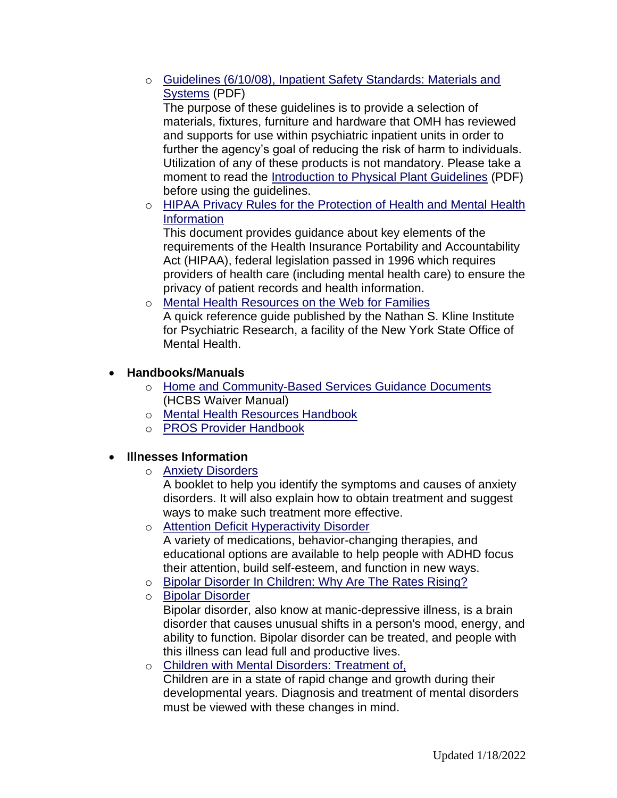o [Guidelines \(6/10/08\), Inpatient Safety Standards: Materials and](http://www.omh.state.ny.us/omhweb/resources/publications/patient_safety_standards.pdf)  [Systems](http://www.omh.state.ny.us/omhweb/resources/publications/patient_safety_standards.pdf) (PDF)

The purpose of these guidelines is to provide a selection of materials, fixtures, furniture and hardware that OMH has reviewed and supports for use within psychiatric inpatient units in order to further the agency's goal of reducing the risk of harm to individuals. Utilization of any of these products is not mandatory. Please take a moment to read the [Introduction to Physical Plant Guidelines](http://www.omh.state.ny.us/omhweb/resources/publications/patient_safety_standards.pdf) (PDF) before using the guidelines.

o [HIPAA Privacy Rules for the Protection of Health and Mental Health](http://www.omh.state.ny.us/omhweb/hipaa/phi_protection.html)  [Information](http://www.omh.state.ny.us/omhweb/hipaa/phi_protection.html)

This document provides guidance about key elements of the requirements of the Health Insurance Portability and Accountability Act (HIPAA), federal legislation passed in 1996 which requires providers of health care (including mental health care) to ensure the privacy of patient records and health information.

o [Mental Health Resources on the Web](http://www.rfmh.org/nki/mhguide.pdf) for Families A quick reference guide published by the Nathan S. Kline Institute for Psychiatric Research, a facility of the New York State Office of Mental Health.

# • **Handbooks/Manuals**

- o [Home and Community-Based Services Guidance Documents](http://www.omh.state.ny.us/omhweb/guidance/hcbs/) (HCBS Waiver Manual)
- o [Mental Health Resources Handbook](http://www.omh.state.ny.us/omhweb/forensic/manual/)
- o [PROS Provider Handbook](http://www.omh.state.ny.us/omhweb/pros/handbook.htm)

# • **Illnesses Information**

o [Anxiety Disorders](http://www.omh.state.ny.us/omhweb/booklets/AnxietyDisorders.htm)

A booklet to help you identify the symptoms and causes of anxiety disorders. It will also explain how to obtain treatment and suggest ways to make such treatment more effective.

o [Attention Deficit Hyperactivity Disorder](http://www.omh.state.ny.us/omhweb/booklets/adhd.htm)

A variety of medications, behavior-changing therapies, and educational options are available to help people with ADHD focus their attention, build self-esteem, and function in new ways.

- o [Bipolar Disorder In Children: Why Are The Rates Rising?](http://www.omh.state.ny.us/omhweb/News/bipolar.html)
- o [Bipolar Disorder](http://www.omh.state.ny.us/omhweb/booklets/Bipolar.htm)

Bipolar disorder, also know at manic-depressive illness, is a brain disorder that causes unusual shifts in a person's mood, energy, and ability to function. Bipolar disorder can be treated, and people with this illness can lead full and productive lives.

o [Children with Mental Disorders: Treatment of,](http://www.omh.state.ny.us/omhweb/booklets/ChildrensBook.htm)  Children are in a state of rapid change and growth during their developmental years. Diagnosis and treatment of mental disorders must be viewed with these changes in mind.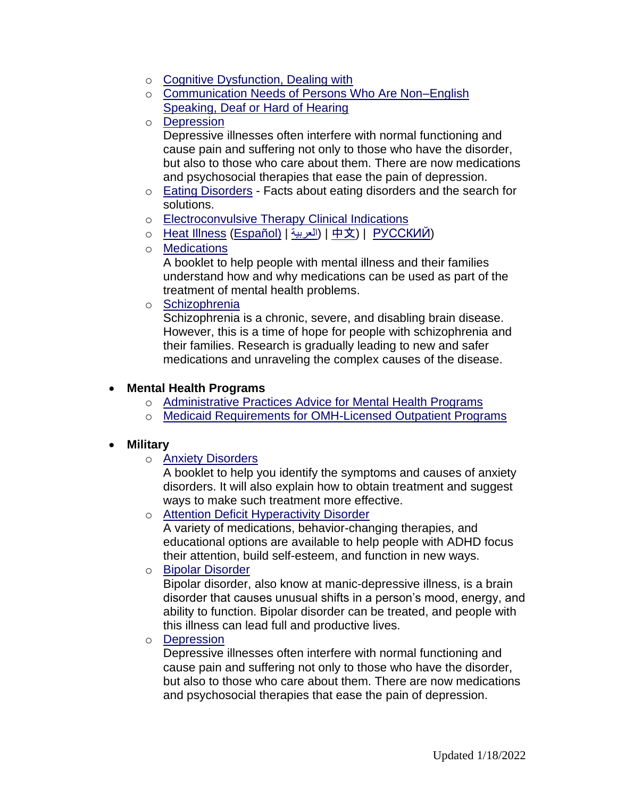- o [Cognitive Dysfunction, Dealing with](http://www.omh.state.ny.us/omhweb/cogdys_manual/CogDysHndbk.htm)
- o [Communication Needs of Persons Who Are Non–English](http://www.omh.state.ny.us/omhweb/guidance/communication_needs.htm)  [Speaking, Deaf or Hard of Hearing](http://www.omh.state.ny.us/omhweb/guidance/communication_needs.htm)
- o [Depression](http://www.omh.state.ny.us/omhweb/booklets/depression.htm)

Depressive illnesses often interfere with normal functioning and cause pain and suffering not only to those who have the disorder, but also to those who care about them. There are now medications and psychosocial therapies that ease the pain of depression.

- o [Eating Disorders](http://www.omh.state.ny.us/omhweb/booklets/EatingDisorder.html) Facts about eating disorders and the search for solutions.
- o [Electroconvulsive Therapy Clinical Indications](http://www.omh.state.ny.us/omhweb/ect/clinical_indications.html)
- o [Heat Illness](http://www.omh.state.ny.us/omhweb/heat/) [\(Español\)](http://www.omh.state.ny.us/omhweb/resources/publications/HeatIllness_Spanish.pdf) | [العربية](http://www.omh.state.ny.us/omhweb/arabic/heatillness_arabic.pdf) | ([中文](http://www.omh.state.ny.us/omhweb/chinese/heatillness_chinese.pdf)) | РУССКИЙ
- o [Medications](http://www.omh.state.ny.us/omhweb/booklets/medications.htm)

A booklet to help people with mental illness and their families understand how and why medications can be used as part of the treatment of mental health problems.

o [Schizophrenia](http://www.omh.state.ny.us/omhweb/booklets/schizophrenia.htm)

Schizophrenia is a chronic, severe, and disabling brain disease. However, this is a time of hope for people with schizophrenia and their families. Research is gradually leading to new and safer medications and unraveling the complex causes of the disease.

#### • **Mental Health Programs**

- o [Administrative Practices Advice for Mental Health Programs](http://www.omh.state.ny.us/omhweb/012104letter/practices.htm)
- o [Medicaid Requirements for OMH-Licensed Outpatient Programs](http://www.omh.state.ny.us/omhweb/012104letter/medicaid.htm)

#### • **Military**

o [Anxiety Disorders](http://www.omh.state.ny.us/omhweb/booklets/AnxietyDisorders.htm)

A booklet to help you identify the symptoms and causes of anxiety disorders. It will also explain how to obtain treatment and suggest ways to make such treatment more effective.

o [Attention Deficit Hyperactivity Disorder](http://www.omh.state.ny.us/omhweb/booklets/adhd.htm)

A variety of medications, behavior-changing therapies, and educational options are available to help people with ADHD focus their attention, build self-esteem, and function in new ways.

o [Bipolar Disorder](http://www.omh.state.ny.us/omhweb/booklets/Bipolar.htm)

Bipolar disorder, also know at manic-depressive illness, is a brain disorder that causes unusual shifts in a person's mood, energy, and ability to function. Bipolar disorder can be treated, and people with this illness can lead full and productive lives.

o [Depression](http://www.omh.state.ny.us/omhweb/booklets/depression.htm)

Depressive illnesses often interfere with normal functioning and cause pain and suffering not only to those who have the disorder, but also to those who care about them. There are now medications and psychosocial therapies that ease the pain of depression.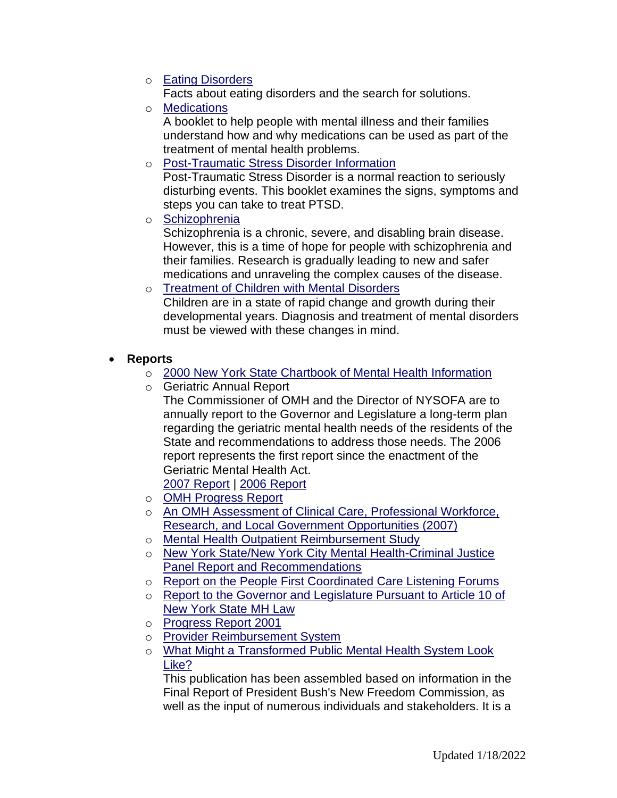o **[Eating Disorders](http://www.omh.state.ny.us/omhweb/booklets/EatingDisorder.html)** 

Facts about eating disorders and the search for solutions.

o [Medications](http://www.omh.state.ny.us/omhweb/booklets/medications.htm)

A booklet to help people with mental illness and their families understand how and why medications can be used as part of the treatment of mental health problems.

o [Post-Traumatic Stress Disorder Information](http://www.omh.state.ny.us/omhweb/booklets/ptsd.htm)

Post-Traumatic Stress Disorder is a normal reaction to seriously disturbing events. This booklet examines the signs, symptoms and steps you can take to treat PTSD.

o [Schizophrenia](http://www.omh.state.ny.us/omhweb/booklets/schizophrenia.htm)

Schizophrenia is a chronic, severe, and disabling brain disease. However, this is a time of hope for people with schizophrenia and their families. Research is gradually leading to new and safer medications and unraveling the complex causes of the disease.

- o [Treatment of Children with Mental Disorders](http://www.omh.state.ny.us/omhweb/booklets/ChildrensBook.htm) Children are in a state of rapid change and growth during their developmental years. Diagnosis and treatment of mental disorders must be viewed with these changes in mind.
- **Reports**
	- o [2000 New York State Chartbook of Mental Health Information](http://www.omh.state.ny.us/omhweb/chartbook/)
	- o Geriatric Annual Report The Commissioner of OMH and the Director of NYSOFA are to annually report to the Governor and Legislature a long-term plan regarding the geriatric mental health needs of the residents of the State and recommendations to address those needs. The 2006 report represents the first report since the enactment of the Geriatric Mental Health Act.

[2007 Report](http://www.omh.state.ny.us/omhweb/geriatric/report_2007.html) | [2006 Report](http://www.omh.state.ny.us/omhweb/geriatric/report_2006.html)

- o [OMH Progress Report](http://www.omh.state.ny.us/omhweb/progressreport/)
- o [An OMH Assessment of Clinical Care, Professional Workforce,](http://www.omh.state.ny.us/omhweb/statistics/clinical_care_assessment/)  [Research, and Local Government Opportunities \(2007\)](http://www.omh.state.ny.us/omhweb/statistics/clinical_care_assessment/)
- o [Mental Health Outpatient Reimbursement Study](http://www.omh.state.ny.us/omhweb/Provider_Reimbursement_System/report.html)
- o [New York State/New York City Mental Health-Criminal Justice](http://www.omh.state.ny.us/omhweb/justice_panel_report/)  [Panel Report and Recommendations](http://www.omh.state.ny.us/omhweb/justice_panel_report/)
- o [Report on the People First Coordinated Care Listening Forums](http://www.omh.state.ny.us/omhweb/News/people_first_full_report/)
- o [Report to the Governor and Legislature Pursuant to Article 10 of](http://www.omh.state.ny.us/omhweb/statistics/forensic/)  [New York State MH Law](http://www.omh.state.ny.us/omhweb/statistics/forensic/)
- o [Progress Report 2001](http://www.omh.state.ny.us/omhweb/ProgressReport/)
- o [Provider Reimbursement System](http://www.omh.state.ny.us/omhweb/Provider_Reimbursement_System/report.html)
- o [What Might a Transformed Public Mental Health System Look](http://www.omh.state.ny.us/omhweb/transformation/transformationbooklet.htm)  [Like?](http://www.omh.state.ny.us/omhweb/transformation/transformationbooklet.htm)

This publication has been assembled based on information in the Final Report of President Bush's New Freedom Commission, as well as the input of numerous individuals and stakeholders. It is a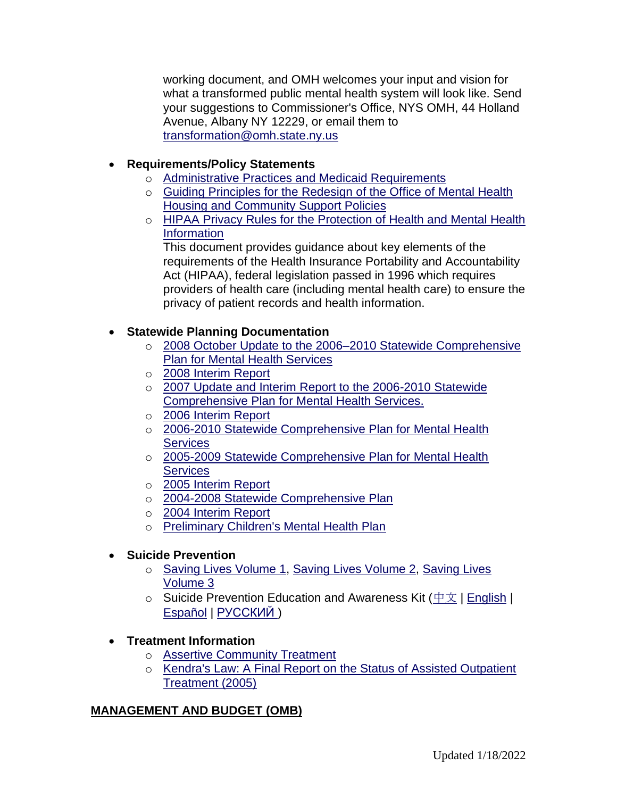working document, and OMH welcomes your input and vision for what a transformed public mental health system will look like. Send your suggestions to Commissioner's Office, NYS OMH, 44 Holland Avenue, Albany NY 12229, or email them to [transformation@omh.state.ny.us](mailto:transformation@omh.state.ny.us)

# • **Requirements/Policy Statements**

- o [Administrative Practices and Medicaid Requirements](http://www.omh.state.ny.us/omhweb/012104letter/)
- o [Guiding Principles for the Redesign of the Office of Mental Health](http://www.omh.state.ny.us/omhweb/News/housing_policy.html)  [Housing and Community Support Policies](http://www.omh.state.ny.us/omhweb/News/housing_policy.html)
- o [HIPAA Privacy Rules for the Protection of Health and Mental Health](http://www.omh.state.ny.us/omhweb/hipaa/phi_protection.html)  **[Information](http://www.omh.state.ny.us/omhweb/hipaa/phi_protection.html)**

This document provides guidance about key elements of the requirements of the Health Insurance Portability and Accountability Act (HIPAA), federal legislation passed in 1996 which requires providers of health care (including mental health care) to ensure the privacy of patient records and health information.

# • **Statewide Planning Documentation**

- o [2008 October Update to the 2006–2010 Statewide Comprehensive](http://www.omh.state.ny.us/omhweb/Statewideplan/2008/update/2008_update.pdf)  [Plan for Mental Health Services](http://www.omh.state.ny.us/omhweb/Statewideplan/2008/update/2008_update.pdf)
- o [2008 Interim Report](http://www.omh.state.ny.us/omhweb/Statewideplan/2008/Interim_Report/)
- o [2007 Update and Interim Report to the 2006-2010 Statewide](http://www.omh.state.ny.us/omhweb/Statewideplan/2006/interim_report/update/)  [Comprehensive Plan for Mental Health Services.](http://www.omh.state.ny.us/omhweb/Statewideplan/2006/interim_report/update/)
- o [2006 Interim Report](http://www.omh.state.ny.us/omhweb/Statewideplan/2006/interim_report/)
- o [2006-2010 Statewide Comprehensive Plan for Mental Health](http://www.omh.state.ny.us/omhweb/statewideplan/2006/)  **[Services](http://www.omh.state.ny.us/omhweb/statewideplan/2006/)**
- o [2005-2009 Statewide Comprehensive Plan for Mental Health](http://www.omh.state.ny.us/omhweb/statewideplan/2005/)  **[Services](http://www.omh.state.ny.us/omhweb/statewideplan/2005/)**
- o [2005 Interim Report](http://www.omh.state.ny.us/omhweb/Statewideplan/2005/interimreport/)
- o [2004-2008 Statewide Comprehensive Plan](http://www.omh.state.ny.us/omhweb/Statewideplan/2004/)
- o [2004 Interim Report](http://www.omh.state.ny.us/omhweb/Statewideplan/interim/)
- o [Preliminary Children's Mental Health Plan](http://www.omh.state.ny.us/omhweb/Statewideplan/childrens_mental_health_act/childrens_mental_health_plan.html)

# • **Suicide Prevention**

- o [Saving Lives Volume 1,](http://www.omh.state.ny.us/omhweb/savinglives/Volume1/) [Saving Lives Volume 2,](http://www.omh.state.ny.us/omhweb/savinglives/Volume2/) Saving Lives [Volume 3](http://www.omh.state.ny.us/omhweb/savinglives/volume3/)
- o Suicide Prevention Education and Awareness Kit ([中文](http://www.omh.state.ny.us/omhweb/chinese/speak/index.html) | [English](http://www.omh.state.ny.us/omhweb/speak/index.htm) | [Español](http://www.omh.state.ny.us/omhweb/spansite/speak/index.htm) | [РУССКИЙ](http://www.omh.state.ny.us/omhweb/russian/speak/) )

# • **Treatment Information**

- o [Assertive Community Treatment](http://www.omh.state.ny.us/omhweb/act/)
- o [Kendra's Law: A Final Report on the Status of Assisted Outpatient](http://www.omh.state.ny.us/omhweb/statistics/AOTRedirect.html)  [Treatment \(2005\)](http://www.omh.state.ny.us/omhweb/statistics/AOTRedirect.html)

# **MANAGEMENT AND BUDGET (OMB)**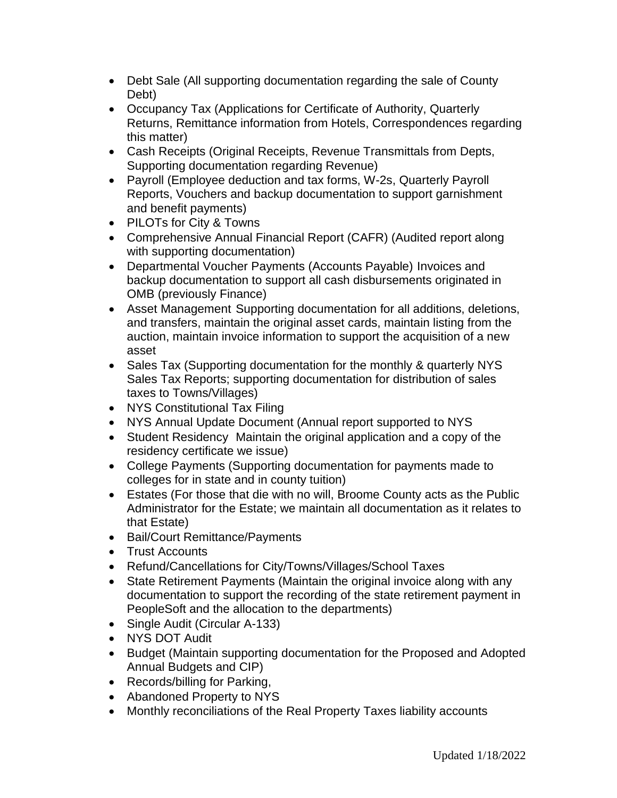- Debt Sale (All supporting documentation regarding the sale of County Debt)
- Occupancy Tax (Applications for Certificate of Authority, Quarterly Returns, Remittance information from Hotels, Correspondences regarding this matter)
- Cash Receipts (Original Receipts, Revenue Transmittals from Depts, Supporting documentation regarding Revenue)
- Payroll (Employee deduction and tax forms, W-2s, Quarterly Payroll Reports, Vouchers and backup documentation to support garnishment and benefit payments)
- PILOTs for City & Towns
- Comprehensive Annual Financial Report (CAFR) (Audited report along with supporting documentation)
- Departmental Voucher Payments (Accounts Payable) Invoices and backup documentation to support all cash disbursements originated in OMB (previously Finance)
- Asset Management Supporting documentation for all additions, deletions, and transfers, maintain the original asset cards, maintain listing from the auction, maintain invoice information to support the acquisition of a new asset
- Sales Tax (Supporting documentation for the monthly & quarterly NYS Sales Tax Reports; supporting documentation for distribution of sales taxes to Towns/Villages)
- NYS Constitutional Tax Filing
- NYS Annual Update Document (Annual report supported to NYS
- Student Residency Maintain the original application and a copy of the residency certificate we issue)
- College Payments (Supporting documentation for payments made to colleges for in state and in county tuition)
- Estates (For those that die with no will, Broome County acts as the Public Administrator for the Estate; we maintain all documentation as it relates to that Estate)
- Bail/Court Remittance/Payments
- Trust Accounts
- Refund/Cancellations for City/Towns/Villages/School Taxes
- State Retirement Payments (Maintain the original invoice along with any documentation to support the recording of the state retirement payment in PeopleSoft and the allocation to the departments)
- Single Audit (Circular A-133)
- NYS DOT Audit
- Budget (Maintain supporting documentation for the Proposed and Adopted Annual Budgets and CIP)
- Records/billing for Parking,
- Abandoned Property to NYS
- Monthly reconciliations of the Real Property Taxes liability accounts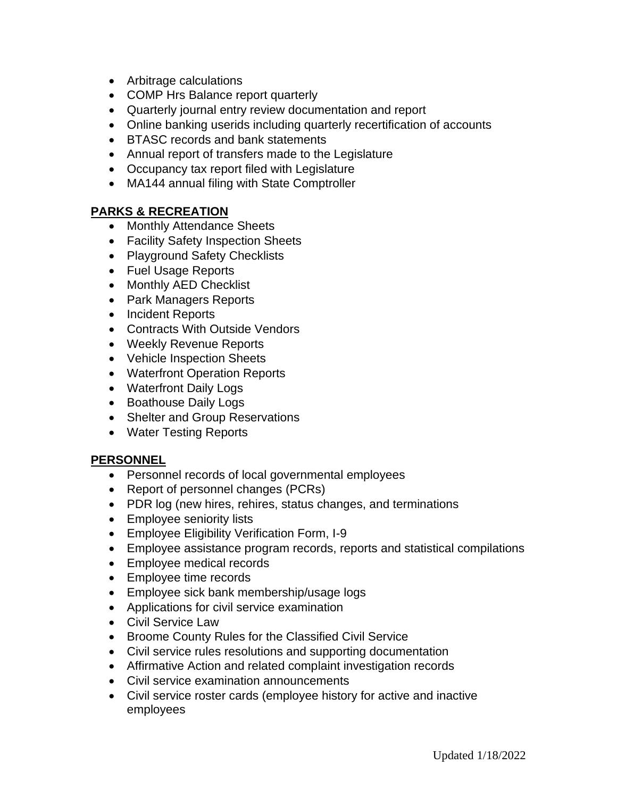- Arbitrage calculations
- COMP Hrs Balance report quarterly
- Quarterly journal entry review documentation and report
- Online banking userids including quarterly recertification of accounts
- BTASC records and bank statements
- Annual report of transfers made to the Legislature
- Occupancy tax report filed with Legislature
- MA144 annual filing with State Comptroller

#### **PARKS & RECREATION**

- Monthly Attendance Sheets
- Facility Safety Inspection Sheets
- Playground Safety Checklists
- Fuel Usage Reports
- Monthly AED Checklist
- Park Managers Reports
- Incident Reports
- Contracts With Outside Vendors
- Weekly Revenue Reports
- Vehicle Inspection Sheets
- Waterfront Operation Reports
- Waterfront Daily Logs
- Boathouse Daily Logs
- Shelter and Group Reservations
- Water Testing Reports

#### **PERSONNEL**

- Personnel records of local governmental employees
- Report of personnel changes (PCRs)
- PDR log (new hires, rehires, status changes, and terminations
- Employee seniority lists
- Employee Eligibility Verification Form, I-9
- Employee assistance program records, reports and statistical compilations
- Employee medical records
- Employee time records
- Employee sick bank membership/usage logs
- Applications for civil service examination
- Civil Service Law
- Broome County Rules for the Classified Civil Service
- Civil service rules resolutions and supporting documentation
- Affirmative Action and related complaint investigation records
- Civil service examination announcements
- Civil service roster cards (employee history for active and inactive employees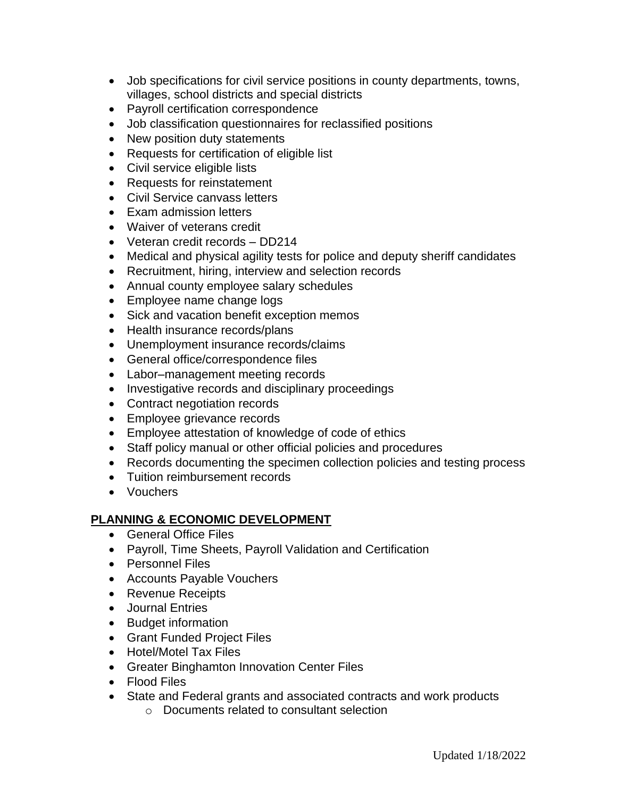- Job specifications for civil service positions in county departments, towns, villages, school districts and special districts
- Payroll certification correspondence
- Job classification questionnaires for reclassified positions
- New position duty statements
- Requests for certification of eligible list
- Civil service eligible lists
- Requests for reinstatement
- Civil Service canvass letters
- Exam admission letters
- Waiver of veterans credit
- Veteran credit records DD214
- Medical and physical agility tests for police and deputy sheriff candidates
- Recruitment, hiring, interview and selection records
- Annual county employee salary schedules
- Employee name change logs
- Sick and vacation benefit exception memos
- Health insurance records/plans
- Unemployment insurance records/claims
- General office/correspondence files
- Labor–management meeting records
- Investigative records and disciplinary proceedings
- Contract negotiation records
- Employee grievance records
- Employee attestation of knowledge of code of ethics
- Staff policy manual or other official policies and procedures
- Records documenting the specimen collection policies and testing process
- Tuition reimbursement records
- Vouchers

# **PLANNING & ECONOMIC DEVELOPMENT**

- General Office Files
- Payroll, Time Sheets, Payroll Validation and Certification
- Personnel Files
- Accounts Payable Vouchers
- Revenue Receipts
- Journal Entries
- Budget information
- Grant Funded Project Files
- Hotel/Motel Tax Files
- Greater Binghamton Innovation Center Files
- Flood Files
- State and Federal grants and associated contracts and work products
	- o Documents related to consultant selection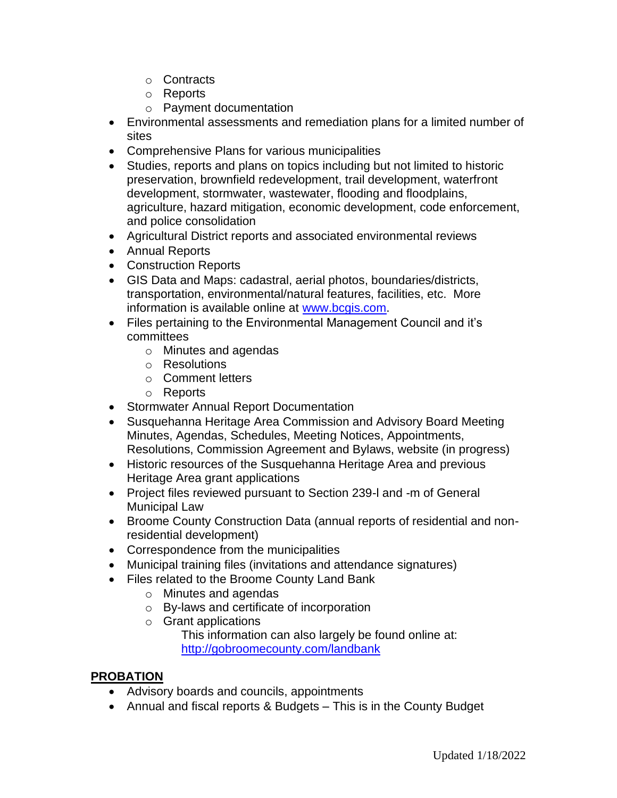- o Contracts
- o Reports
- o Payment documentation
- Environmental assessments and remediation plans for a limited number of sites
- Comprehensive Plans for various municipalities
- Studies, reports and plans on topics including but not limited to historic preservation, brownfield redevelopment, trail development, waterfront development, stormwater, wastewater, flooding and floodplains, agriculture, hazard mitigation, economic development, code enforcement, and police consolidation
- Agricultural District reports and associated environmental reviews
- Annual Reports
- Construction Reports
- GIS Data and Maps: cadastral, aerial photos, boundaries/districts, transportation, environmental/natural features, facilities, etc. More information is available online at [www.bcgis.com.](http://www.bcgis.com/)
- Files pertaining to the Environmental Management Council and it's committees
	- o Minutes and agendas
	- o Resolutions
	- o Comment letters
	- o Reports
- Stormwater Annual Report Documentation
- Susquehanna Heritage Area Commission and Advisory Board Meeting Minutes, Agendas, Schedules, Meeting Notices, Appointments, Resolutions, Commission Agreement and Bylaws, website (in progress)
- Historic resources of the Susquehanna Heritage Area and previous Heritage Area grant applications
- Project files reviewed pursuant to Section 239-l and -m of General Municipal Law
- Broome County Construction Data (annual reports of residential and nonresidential development)
- Correspondence from the municipalities
- Municipal training files (invitations and attendance signatures)
- Files related to the Broome County Land Bank
	- o Minutes and agendas
	- o By-laws and certificate of incorporation
	- o Grant applications

This information can also largely be found online at: <http://gobroomecounty.com/landbank>

# **PROBATION**

- Advisory boards and councils, appointments
- Annual and fiscal reports & Budgets This is in the County Budget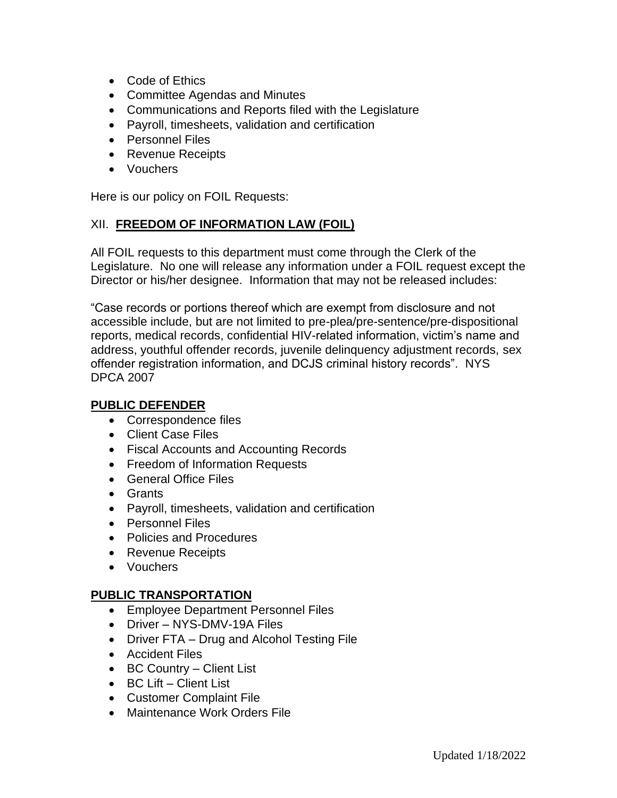- Code of Ethics
- Committee Agendas and Minutes
- Communications and Reports filed with the Legislature
- Payroll, timesheets, validation and certification
- Personnel Files
- Revenue Receipts
- Vouchers

Here is our policy on FOIL Requests:

#### XII. **FREEDOM OF INFORMATION LAW (FOIL)**

All FOIL requests to this department must come through the Clerk of the Legislature. No one will release any information under a FOIL request except the Director or his/her designee. Information that may not be released includes:

"Case records or portions thereof which are exempt from disclosure and not accessible include, but are not limited to pre-plea/pre-sentence/pre-dispositional reports, medical records, confidential HIV-related information, victim's name and address, youthful offender records, juvenile delinquency adjustment records, sex offender registration information, and DCJS criminal history records". NYS DPCA 2007

#### **PUBLIC DEFENDER**

- Correspondence files
- Client Case Files
- Fiscal Accounts and Accounting Records
- Freedom of Information Requests
- General Office Files
- Grants
- Payroll, timesheets, validation and certification
- Personnel Files
- Policies and Procedures
- Revenue Receipts
- Vouchers

#### **PUBLIC TRANSPORTATION**

- Employee Department Personnel Files
- Driver NYS-DMV-19A Files
- Driver FTA Drug and Alcohol Testing File
- Accident Files
- BC Country Client List
- BC Lift Client List
- Customer Complaint File
- Maintenance Work Orders File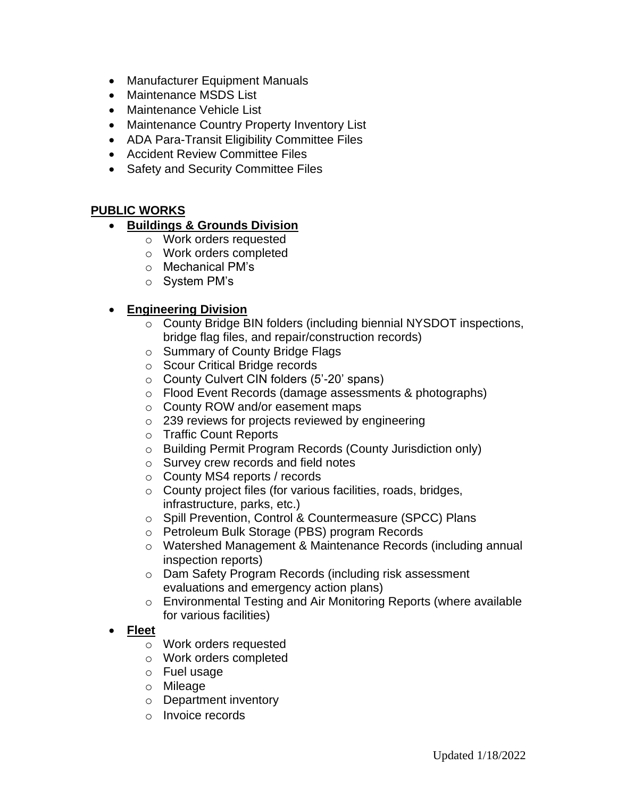- Manufacturer Equipment Manuals
- Maintenance MSDS List
- Maintenance Vehicle List
- Maintenance Country Property Inventory List
- ADA Para-Transit Eligibility Committee Files
- Accident Review Committee Files
- Safety and Security Committee Files

#### **PUBLIC WORKS**

- **Buildings & Grounds Division**
	- o Work orders requested
	- o Work orders completed
	- o Mechanical PM's
	- o System PM's

# • **Engineering Division**

- o County Bridge BIN folders (including biennial NYSDOT inspections, bridge flag files, and repair/construction records)
- o Summary of County Bridge Flags
- o Scour Critical Bridge records
- o County Culvert CIN folders (5'-20' spans)
- o Flood Event Records (damage assessments & photographs)
- o County ROW and/or easement maps
- $\circ$  239 reviews for projects reviewed by engineering
- o Traffic Count Reports
- o Building Permit Program Records (County Jurisdiction only)
- o Survey crew records and field notes
- o County MS4 reports / records
- o County project files (for various facilities, roads, bridges, infrastructure, parks, etc.)
- o Spill Prevention, Control & Countermeasure (SPCC) Plans
- o Petroleum Bulk Storage (PBS) program Records
- o Watershed Management & Maintenance Records (including annual inspection reports)
- o Dam Safety Program Records (including risk assessment evaluations and emergency action plans)
- o Environmental Testing and Air Monitoring Reports (where available for various facilities)
- **Fleet**
	- o Work orders requested
	- o Work orders completed
	- o Fuel usage
	- o Mileage
	- o Department inventory
	- o Invoice records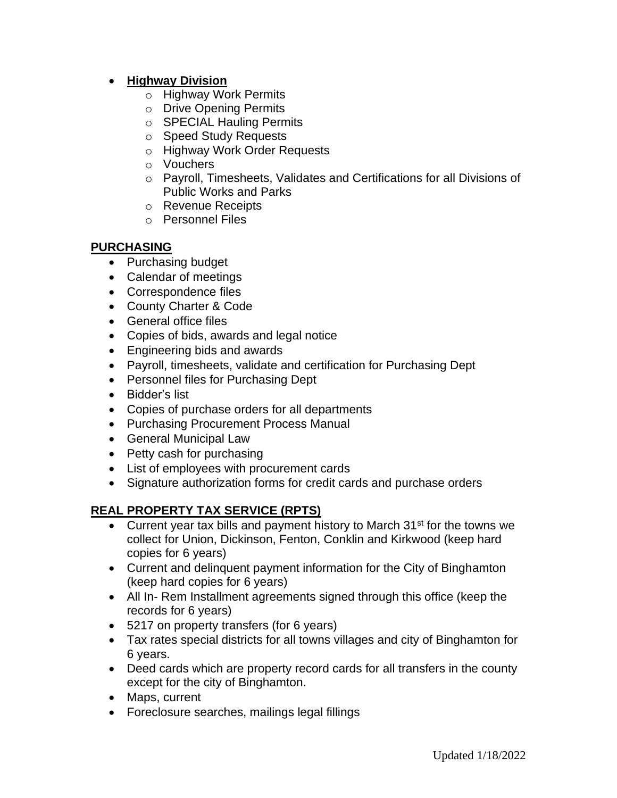### • **Highway Division**

- o Highway Work Permits
- o Drive Opening Permits
- o SPECIAL Hauling Permits
- o Speed Study Requests
- o Highway Work Order Requests
- o Vouchers
- o Payroll, Timesheets, Validates and Certifications for all Divisions of Public Works and Parks
- o Revenue Receipts
- o Personnel Files

#### **PURCHASING**

- Purchasing budget
- Calendar of meetings
- Correspondence files
- County Charter & Code
- General office files
- Copies of bids, awards and legal notice
- Engineering bids and awards
- Payroll, timesheets, validate and certification for Purchasing Dept
- Personnel files for Purchasing Dept
- Bidder's list
- Copies of purchase orders for all departments
- Purchasing Procurement Process Manual
- General Municipal Law
- Petty cash for purchasing
- List of employees with procurement cards
- Signature authorization forms for credit cards and purchase orders

# **REAL PROPERTY TAX SERVICE (RPTS)**

- Current year tax bills and payment history to March  $31<sup>st</sup>$  for the towns we collect for Union, Dickinson, Fenton, Conklin and Kirkwood (keep hard copies for 6 years)
- Current and delinquent payment information for the City of Binghamton (keep hard copies for 6 years)
- All In- Rem Installment agreements signed through this office (keep the records for 6 years)
- 5217 on property transfers (for 6 years)
- Tax rates special districts for all towns villages and city of Binghamton for 6 years.
- Deed cards which are property record cards for all transfers in the county except for the city of Binghamton.
- Maps, current
- Foreclosure searches, mailings legal fillings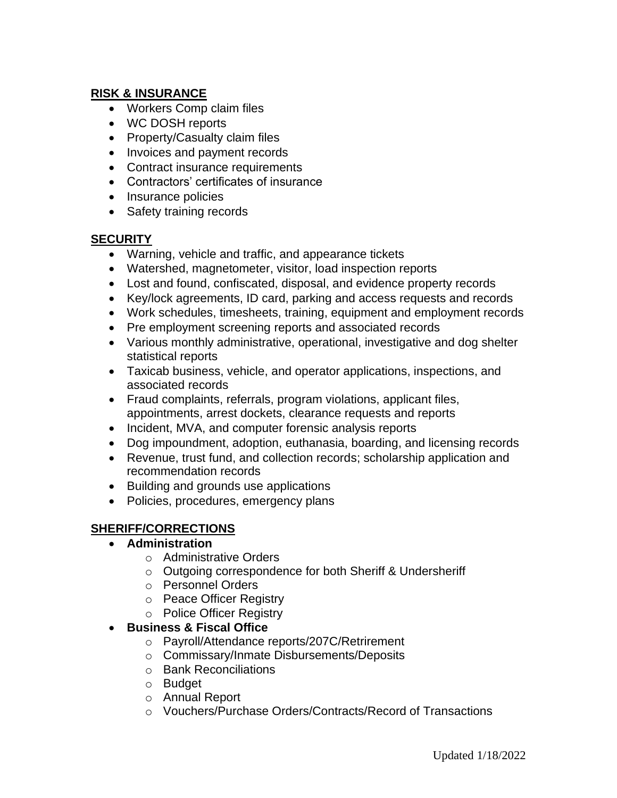# **RISK & INSURANCE**

- Workers Comp claim files
- WC DOSH reports
- Property/Casualty claim files
- Invoices and payment records
- Contract insurance requirements
- Contractors' certificates of insurance
- Insurance policies
- Safety training records

#### **SECURITY**

- Warning, vehicle and traffic, and appearance tickets
- Watershed, magnetometer, visitor, load inspection reports
- Lost and found, confiscated, disposal, and evidence property records
- Key/lock agreements, ID card, parking and access requests and records
- Work schedules, timesheets, training, equipment and employment records
- Pre employment screening reports and associated records
- Various monthly administrative, operational, investigative and dog shelter statistical reports
- Taxicab business, vehicle, and operator applications, inspections, and associated records
- Fraud complaints, referrals, program violations, applicant files, appointments, arrest dockets, clearance requests and reports
- Incident, MVA, and computer forensic analysis reports
- Dog impoundment, adoption, euthanasia, boarding, and licensing records
- Revenue, trust fund, and collection records; scholarship application and recommendation records
- Building and grounds use applications
- Policies, procedures, emergency plans

# **SHERIFF/CORRECTIONS**

# • **Administration**

- o Administrative Orders
- o Outgoing correspondence for both Sheriff & Undersheriff
- o Personnel Orders
- o Peace Officer Registry
- o Police Officer Registry

# • **Business & Fiscal Office**

- o Payroll/Attendance reports/207C/Retrirement
- o Commissary/Inmate Disbursements/Deposits
- o Bank Reconciliations
- o Budget
- o Annual Report
- o Vouchers/Purchase Orders/Contracts/Record of Transactions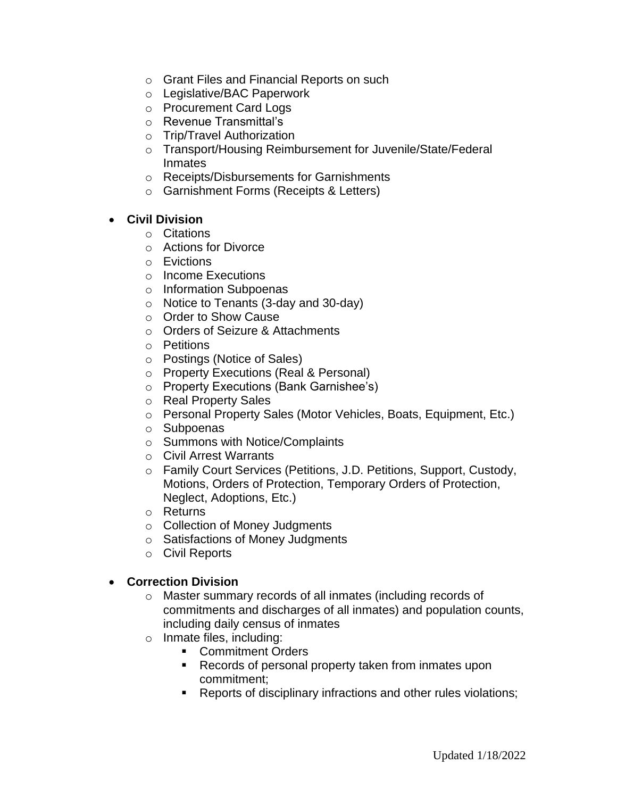- o Grant Files and Financial Reports on such
- o Legislative/BAC Paperwork
- o Procurement Card Logs
- o Revenue Transmittal's
- o Trip/Travel Authorization
- o Transport/Housing Reimbursement for Juvenile/State/Federal Inmates
- o Receipts/Disbursements for Garnishments
- o Garnishment Forms (Receipts & Letters)

#### • **Civil Division**

- o Citations
- o Actions for Divorce
- o Evictions
- o Income Executions
- o Information Subpoenas
- o Notice to Tenants (3-day and 30-day)
- o Order to Show Cause
- o Orders of Seizure & Attachments
- o Petitions
- o Postings (Notice of Sales)
- o Property Executions (Real & Personal)
- o Property Executions (Bank Garnishee's)
- o Real Property Sales
- o Personal Property Sales (Motor Vehicles, Boats, Equipment, Etc.)
- o Subpoenas
- o Summons with Notice/Complaints
- o Civil Arrest Warrants
- o Family Court Services (Petitions, J.D. Petitions, Support, Custody, Motions, Orders of Protection, Temporary Orders of Protection, Neglect, Adoptions, Etc.)
- o Returns
- o Collection of Money Judgments
- o Satisfactions of Money Judgments
- o Civil Reports

#### • **Correction Division**

- o Master summary records of all inmates (including records of commitments and discharges of all inmates) and population counts, including daily census of inmates
- o Inmate files, including:
	- Commitment Orders
	- Records of personal property taken from inmates upon commitment;
	- Reports of disciplinary infractions and other rules violations;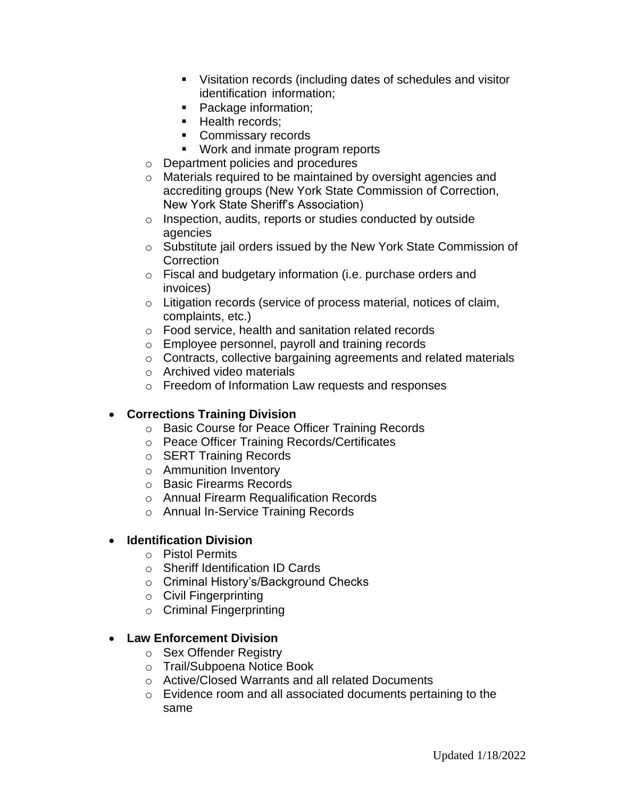- Visitation records (including dates of schedules and visitor identification information;
- Package information;
- **·** Health records;
- Commissary records
- Work and inmate program reports
- o Department policies and procedures
- o Materials required to be maintained by oversight agencies and accrediting groups (New York State Commission of Correction, New York State Sheriff's Association)
- o Inspection, audits, reports or studies conducted by outside agencies
- o Substitute jail orders issued by the New York State Commission of **Correction**
- o Fiscal and budgetary information (i.e. purchase orders and invoices)
- o Litigation records (service of process material, notices of claim, complaints, etc.)
- o Food service, health and sanitation related records
- o Employee personnel, payroll and training records
- o Contracts, collective bargaining agreements and related materials
- o Archived video materials
- o Freedom of Information Law requests and responses

# • **Corrections Training Division**

- o Basic Course for Peace Officer Training Records
- o Peace Officer Training Records/Certificates
- o SERT Training Records
- o Ammunition Inventory
- o Basic Firearms Records
- o Annual Firearm Requalification Records
- o Annual In-Service Training Records

# • **Identification Division**

- o Pistol Permits
- o Sheriff Identification ID Cards
- o Criminal History's/Background Checks
- o Civil Fingerprinting
- o Criminal Fingerprinting

# • **Law Enforcement Division**

- o Sex Offender Registry
- o Trail/Subpoena Notice Book
- o Active/Closed Warrants and all related Documents
- o Evidence room and all associated documents pertaining to the same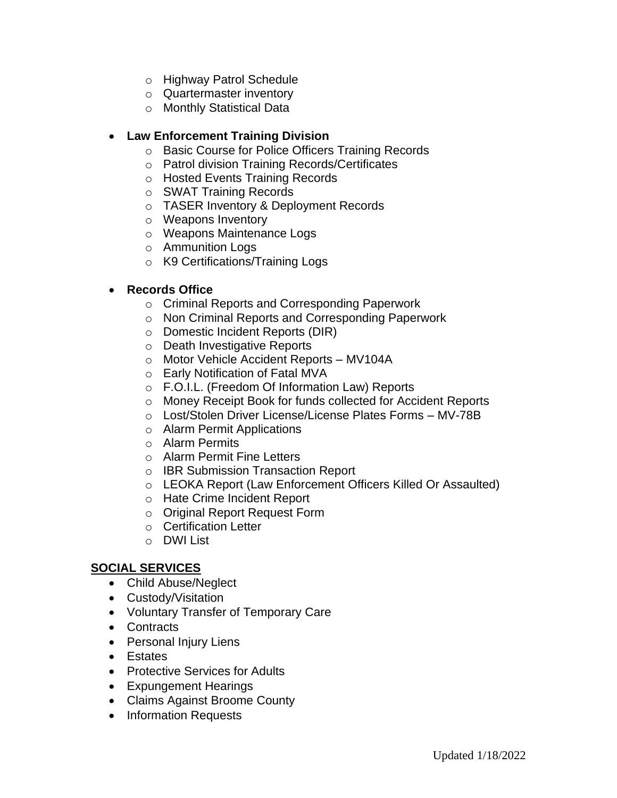- o Highway Patrol Schedule
- o Quartermaster inventory
- o Monthly Statistical Data

### • **Law Enforcement Training Division**

- o Basic Course for Police Officers Training Records
- o Patrol division Training Records/Certificates
- o Hosted Events Training Records
- o SWAT Training Records
- o TASER Inventory & Deployment Records
- o Weapons Inventory
- o Weapons Maintenance Logs
- o Ammunition Logs
- o K9 Certifications/Training Logs

#### • **Records Office**

- o Criminal Reports and Corresponding Paperwork
- o Non Criminal Reports and Corresponding Paperwork
- o Domestic Incident Reports (DIR)
- o Death Investigative Reports
- o Motor Vehicle Accident Reports MV104A
- o Early Notification of Fatal MVA
- o F.O.I.L. (Freedom Of Information Law) Reports
- o Money Receipt Book for funds collected for Accident Reports
- o Lost/Stolen Driver License/License Plates Forms MV-78B
- o Alarm Permit Applications
- o Alarm Permits
- o Alarm Permit Fine Letters
- o IBR Submission Transaction Report
- o LEOKA Report (Law Enforcement Officers Killed Or Assaulted)
- o Hate Crime Incident Report
- o Original Report Request Form
- o Certification Letter
- o DWI List

# **SOCIAL SERVICES**

- Child Abuse/Neglect
- Custody/Visitation
- Voluntary Transfer of Temporary Care
- Contracts
- Personal Injury Liens
- Estates
- Protective Services for Adults
- Expungement Hearings
- Claims Against Broome County
- Information Requests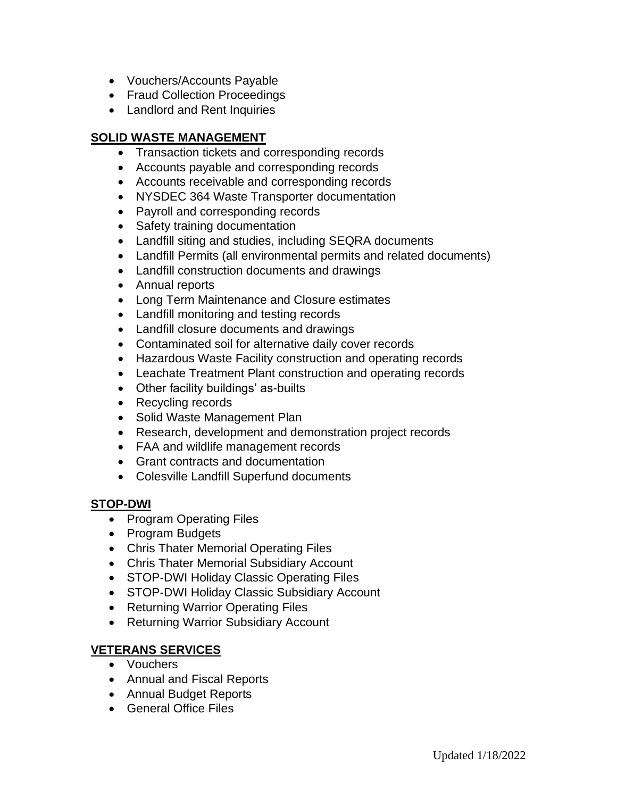- Vouchers/Accounts Payable
- Fraud Collection Proceedings
- Landlord and Rent Inquiries

# **SOLID WASTE MANAGEMENT**

- Transaction tickets and corresponding records
- Accounts payable and corresponding records
- Accounts receivable and corresponding records
- NYSDEC 364 Waste Transporter documentation
- Payroll and corresponding records
- Safety training documentation
- Landfill siting and studies, including SEQRA documents
- Landfill Permits (all environmental permits and related documents)
- Landfill construction documents and drawings
- Annual reports
- Long Term Maintenance and Closure estimates
- Landfill monitoring and testing records
- Landfill closure documents and drawings
- Contaminated soil for alternative daily cover records
- Hazardous Waste Facility construction and operating records
- Leachate Treatment Plant construction and operating records
- Other facility buildings' as-builts
- Recycling records
- Solid Waste Management Plan
- Research, development and demonstration project records
- FAA and wildlife management records
- Grant contracts and documentation
- Colesville Landfill Superfund documents

# **STOP-DWI**

- Program Operating Files
- Program Budgets
- Chris Thater Memorial Operating Files
- Chris Thater Memorial Subsidiary Account
- STOP-DWI Holiday Classic Operating Files
- STOP-DWI Holiday Classic Subsidiary Account
- Returning Warrior Operating Files
- Returning Warrior Subsidiary Account

#### **VETERANS SERVICES**

- Vouchers
- Annual and Fiscal Reports
- Annual Budget Reports
- General Office Files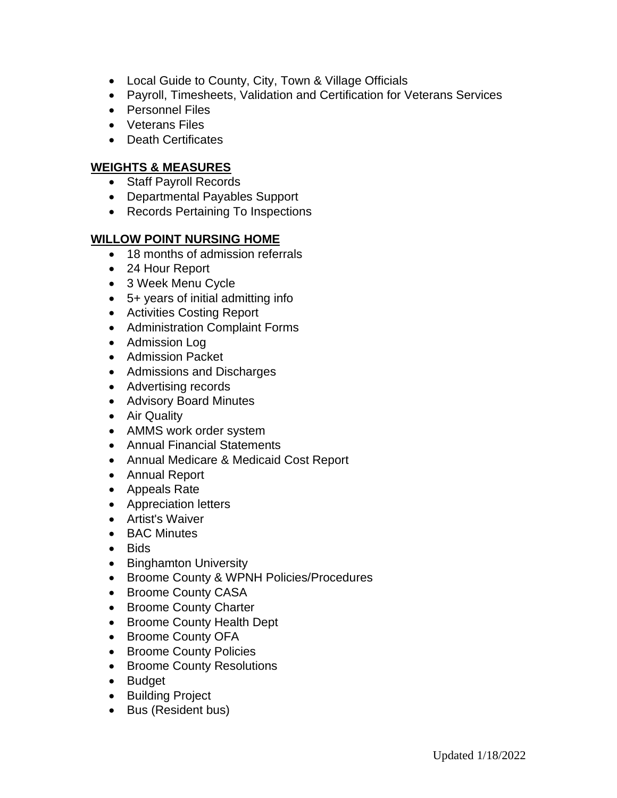- Local Guide to County, City, Town & Village Officials
- Payroll, Timesheets, Validation and Certification for Veterans Services
- Personnel Files
- Veterans Files
- Death Certificates

### **WEIGHTS & MEASURES**

- Staff Payroll Records
- Departmental Payables Support
- Records Pertaining To Inspections

#### **WILLOW POINT NURSING HOME**

- 18 months of admission referrals
- 24 Hour Report
- 3 Week Menu Cycle
- 5+ years of initial admitting info
- Activities Costing Report
- Administration Complaint Forms
- Admission Log
- Admission Packet
- Admissions and Discharges
- Advertising records
- Advisory Board Minutes
- Air Quality
- AMMS work order system
- Annual Financial Statements
- Annual Medicare & Medicaid Cost Report
- Annual Report
- Appeals Rate
- Appreciation letters
- Artist's Waiver
- BAC Minutes
- Bids
- Binghamton University
- Broome County & WPNH Policies/Procedures
- Broome County CASA
- Broome County Charter
- Broome County Health Dept
- Broome County OFA
- Broome County Policies
- Broome County Resolutions
- Budget
- Building Project
- Bus (Resident bus)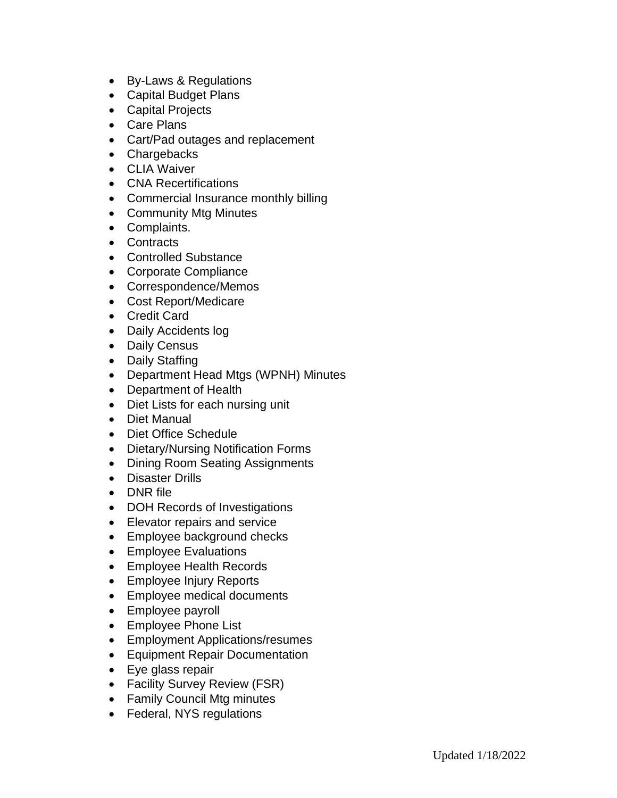- By-Laws & Regulations
- Capital Budget Plans
- Capital Projects
- Care Plans
- Cart/Pad outages and replacement
- Chargebacks
- CLIA Waiver
- CNA Recertifications
- Commercial Insurance monthly billing
- Community Mtg Minutes
- Complaints.
- Contracts
- Controlled Substance
- Corporate Compliance
- Correspondence/Memos
- Cost Report/Medicare
- Credit Card
- Daily Accidents log
- Daily Census
- Daily Staffing
- Department Head Mtgs (WPNH) Minutes
- Department of Health
- Diet Lists for each nursing unit
- Diet Manual
- Diet Office Schedule
- Dietary/Nursing Notification Forms
- Dining Room Seating Assignments
- Disaster Drills
- DNR file
- DOH Records of Investigations
- Elevator repairs and service
- Employee background checks
- Employee Evaluations
- Employee Health Records
- Employee Injury Reports
- Employee medical documents
- Employee payroll
- Employee Phone List
- Employment Applications/resumes
- Equipment Repair Documentation
- Eye glass repair
- Facility Survey Review (FSR)
- Family Council Mtg minutes
- Federal, NYS regulations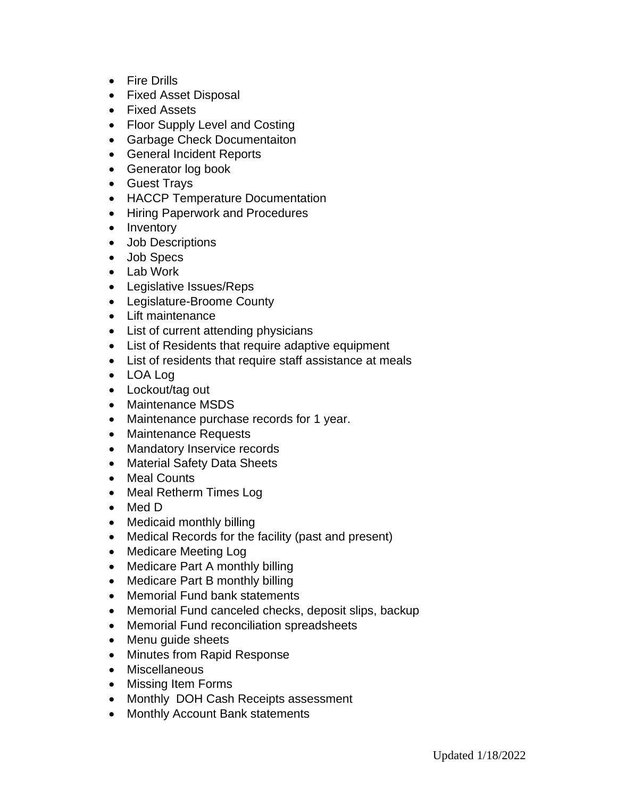- Fire Drills
- Fixed Asset Disposal
- Fixed Assets
- Floor Supply Level and Costing
- Garbage Check Documentaiton
- General Incident Reports
- Generator log book
- Guest Trays
- HACCP Temperature Documentation
- Hiring Paperwork and Procedures
- Inventory
- Job Descriptions
- Job Specs
- Lab Work
- Legislative Issues/Reps
- Legislature-Broome County
- Lift maintenance
- List of current attending physicians
- List of Residents that require adaptive equipment
- List of residents that require staff assistance at meals
- LOA Log
- Lockout/tag out
- Maintenance MSDS
- Maintenance purchase records for 1 year.
- Maintenance Requests
- Mandatory Inservice records
- Material Safety Data Sheets
- Meal Counts
- Meal Retherm Times Log
- Med D
- Medicaid monthly billing
- Medical Records for the facility (past and present)
- Medicare Meeting Log
- Medicare Part A monthly billing
- Medicare Part B monthly billing
- Memorial Fund bank statements
- Memorial Fund canceled checks, deposit slips, backup
- Memorial Fund reconciliation spreadsheets
- Menu quide sheets
- Minutes from Rapid Response
- Miscellaneous
- Missing Item Forms
- Monthly DOH Cash Receipts assessment
- Monthly Account Bank statements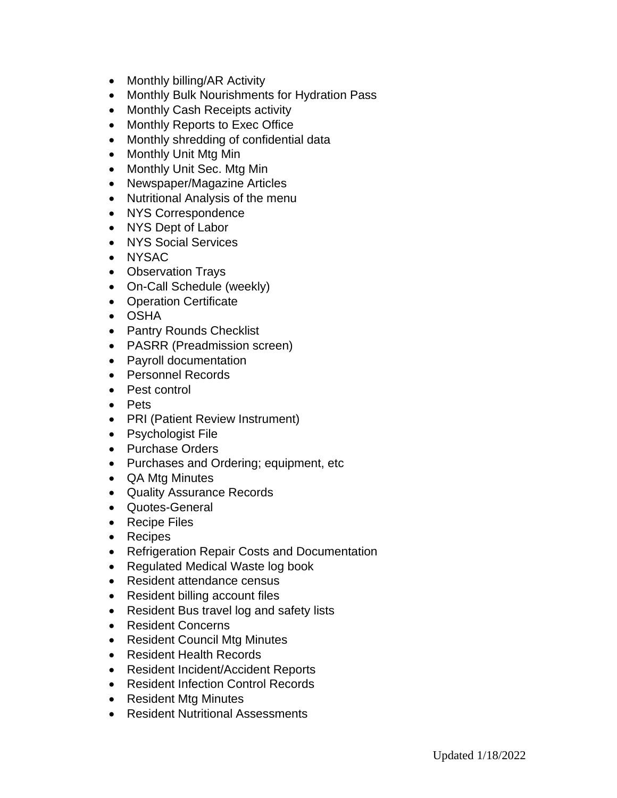- Monthly billing/AR Activity
- Monthly Bulk Nourishments for Hydration Pass
- Monthly Cash Receipts activity
- Monthly Reports to Exec Office
- Monthly shredding of confidential data
- Monthly Unit Mtg Min
- Monthly Unit Sec. Mtg Min
- Newspaper/Magazine Articles
- Nutritional Analysis of the menu
- NYS Correspondence
- NYS Dept of Labor
- NYS Social Services
- NYSAC
- Observation Trays
- On-Call Schedule (weekly)
- Operation Certificate
- OSHA
- Pantry Rounds Checklist
- PASRR (Preadmission screen)
- Payroll documentation
- Personnel Records
- Pest control
- Pets
- PRI (Patient Review Instrument)
- Psychologist File
- Purchase Orders
- Purchases and Ordering; equipment, etc
- QA Mtg Minutes
- Quality Assurance Records
- Quotes-General
- Recipe Files
- Recipes
- Refrigeration Repair Costs and Documentation
- Regulated Medical Waste log book
- Resident attendance census
- Resident billing account files
- Resident Bus travel log and safety lists
- Resident Concerns
- Resident Council Mtg Minutes
- Resident Health Records
- Resident Incident/Accident Reports
- Resident Infection Control Records
- Resident Mtg Minutes
- Resident Nutritional Assessments